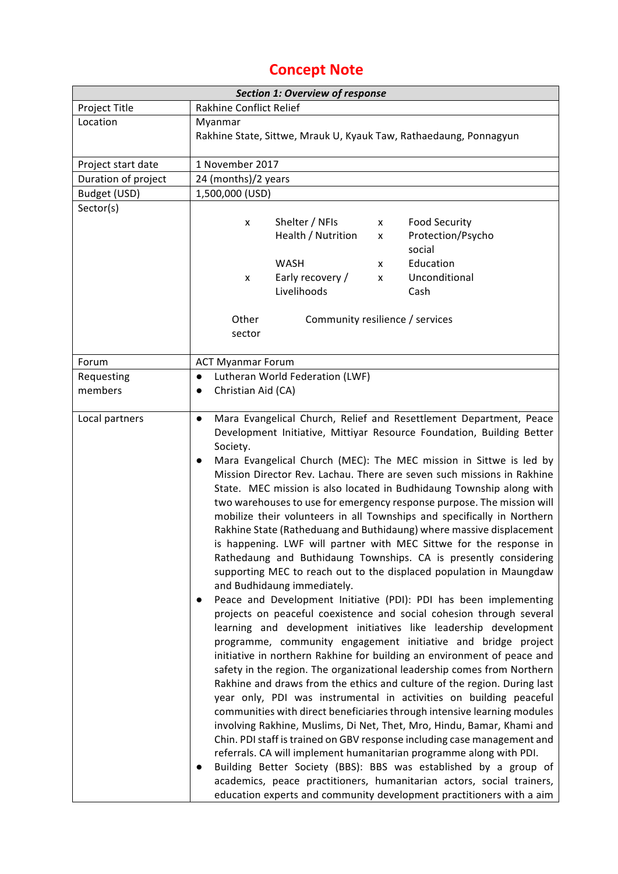### **Concept Note**

| <b>Section 1: Overview of response</b> |                                                                                                                                                                                                                                                                                                                                                                                                                                                                                                                                                                                                                                                                                                                                                                                                                                                                                                                                                                                                                                                                                                                                                                                                                                                                                                                                                                                                                                                                                                                                                                                                                                                                                                                                                                                                                                                                                                                                                     |  |  |  |  |  |  |
|----------------------------------------|-----------------------------------------------------------------------------------------------------------------------------------------------------------------------------------------------------------------------------------------------------------------------------------------------------------------------------------------------------------------------------------------------------------------------------------------------------------------------------------------------------------------------------------------------------------------------------------------------------------------------------------------------------------------------------------------------------------------------------------------------------------------------------------------------------------------------------------------------------------------------------------------------------------------------------------------------------------------------------------------------------------------------------------------------------------------------------------------------------------------------------------------------------------------------------------------------------------------------------------------------------------------------------------------------------------------------------------------------------------------------------------------------------------------------------------------------------------------------------------------------------------------------------------------------------------------------------------------------------------------------------------------------------------------------------------------------------------------------------------------------------------------------------------------------------------------------------------------------------------------------------------------------------------------------------------------------------|--|--|--|--|--|--|
| Project Title                          | Rakhine Conflict Relief                                                                                                                                                                                                                                                                                                                                                                                                                                                                                                                                                                                                                                                                                                                                                                                                                                                                                                                                                                                                                                                                                                                                                                                                                                                                                                                                                                                                                                                                                                                                                                                                                                                                                                                                                                                                                                                                                                                             |  |  |  |  |  |  |
| Location                               | Myanmar                                                                                                                                                                                                                                                                                                                                                                                                                                                                                                                                                                                                                                                                                                                                                                                                                                                                                                                                                                                                                                                                                                                                                                                                                                                                                                                                                                                                                                                                                                                                                                                                                                                                                                                                                                                                                                                                                                                                             |  |  |  |  |  |  |
|                                        | Rakhine State, Sittwe, Mrauk U, Kyauk Taw, Rathaedaung, Ponnagyun                                                                                                                                                                                                                                                                                                                                                                                                                                                                                                                                                                                                                                                                                                                                                                                                                                                                                                                                                                                                                                                                                                                                                                                                                                                                                                                                                                                                                                                                                                                                                                                                                                                                                                                                                                                                                                                                                   |  |  |  |  |  |  |
| Project start date                     | 1 November 2017                                                                                                                                                                                                                                                                                                                                                                                                                                                                                                                                                                                                                                                                                                                                                                                                                                                                                                                                                                                                                                                                                                                                                                                                                                                                                                                                                                                                                                                                                                                                                                                                                                                                                                                                                                                                                                                                                                                                     |  |  |  |  |  |  |
| Duration of project                    | 24 (months)/2 years                                                                                                                                                                                                                                                                                                                                                                                                                                                                                                                                                                                                                                                                                                                                                                                                                                                                                                                                                                                                                                                                                                                                                                                                                                                                                                                                                                                                                                                                                                                                                                                                                                                                                                                                                                                                                                                                                                                                 |  |  |  |  |  |  |
| Budget (USD)                           | 1,500,000 (USD)                                                                                                                                                                                                                                                                                                                                                                                                                                                                                                                                                                                                                                                                                                                                                                                                                                                                                                                                                                                                                                                                                                                                                                                                                                                                                                                                                                                                                                                                                                                                                                                                                                                                                                                                                                                                                                                                                                                                     |  |  |  |  |  |  |
| Sector(s)                              | Shelter / NFIs<br><b>Food Security</b><br>X<br>x<br>Health / Nutrition<br>Protection/Psycho<br>x<br>social<br><b>WASH</b><br>Education<br>X<br>Early recovery /<br>Unconditional<br>X<br>x<br>Livelihoods<br>Cash<br>Other<br>Community resilience / services                                                                                                                                                                                                                                                                                                                                                                                                                                                                                                                                                                                                                                                                                                                                                                                                                                                                                                                                                                                                                                                                                                                                                                                                                                                                                                                                                                                                                                                                                                                                                                                                                                                                                       |  |  |  |  |  |  |
|                                        | sector                                                                                                                                                                                                                                                                                                                                                                                                                                                                                                                                                                                                                                                                                                                                                                                                                                                                                                                                                                                                                                                                                                                                                                                                                                                                                                                                                                                                                                                                                                                                                                                                                                                                                                                                                                                                                                                                                                                                              |  |  |  |  |  |  |
| Forum                                  | <b>ACT Myanmar Forum</b>                                                                                                                                                                                                                                                                                                                                                                                                                                                                                                                                                                                                                                                                                                                                                                                                                                                                                                                                                                                                                                                                                                                                                                                                                                                                                                                                                                                                                                                                                                                                                                                                                                                                                                                                                                                                                                                                                                                            |  |  |  |  |  |  |
| Requesting                             | Lutheran World Federation (LWF)<br>$\bullet$                                                                                                                                                                                                                                                                                                                                                                                                                                                                                                                                                                                                                                                                                                                                                                                                                                                                                                                                                                                                                                                                                                                                                                                                                                                                                                                                                                                                                                                                                                                                                                                                                                                                                                                                                                                                                                                                                                        |  |  |  |  |  |  |
| members                                | Christian Aid (CA)                                                                                                                                                                                                                                                                                                                                                                                                                                                                                                                                                                                                                                                                                                                                                                                                                                                                                                                                                                                                                                                                                                                                                                                                                                                                                                                                                                                                                                                                                                                                                                                                                                                                                                                                                                                                                                                                                                                                  |  |  |  |  |  |  |
| Local partners                         | Mara Evangelical Church, Relief and Resettlement Department, Peace<br>$\bullet$<br>Development Initiative, Mittiyar Resource Foundation, Building Better<br>Society.<br>Mara Evangelical Church (MEC): The MEC mission in Sittwe is led by<br>$\bullet$<br>Mission Director Rev. Lachau. There are seven such missions in Rakhine<br>State. MEC mission is also located in Budhidaung Township along with<br>two warehouses to use for emergency response purpose. The mission will<br>mobilize their volunteers in all Townships and specifically in Northern<br>Rakhine State (Ratheduang and Buthidaung) where massive displacement<br>is happening. LWF will partner with MEC Sittwe for the response in<br>Rathedaung and Buthidaung Townships. CA is presently considering<br>supporting MEC to reach out to the displaced population in Maungdaw<br>and Budhidaung immediately.<br>Peace and Development Initiative (PDI): PDI has been implementing<br>$\bullet$<br>projects on peaceful coexistence and social cohesion through several<br>learning and development initiatives like leadership development<br>programme, community engagement initiative and bridge project<br>initiative in northern Rakhine for building an environment of peace and<br>safety in the region. The organizational leadership comes from Northern<br>Rakhine and draws from the ethics and culture of the region. During last<br>year only, PDI was instrumental in activities on building peaceful<br>communities with direct beneficiaries through intensive learning modules<br>involving Rakhine, Muslims, Di Net, Thet, Mro, Hindu, Bamar, Khami and<br>Chin. PDI staff is trained on GBV response including case management and<br>referrals. CA will implement humanitarian programme along with PDI.<br>Building Better Society (BBS): BBS was established by a group of<br>academics, peace practitioners, humanitarian actors, social trainers, |  |  |  |  |  |  |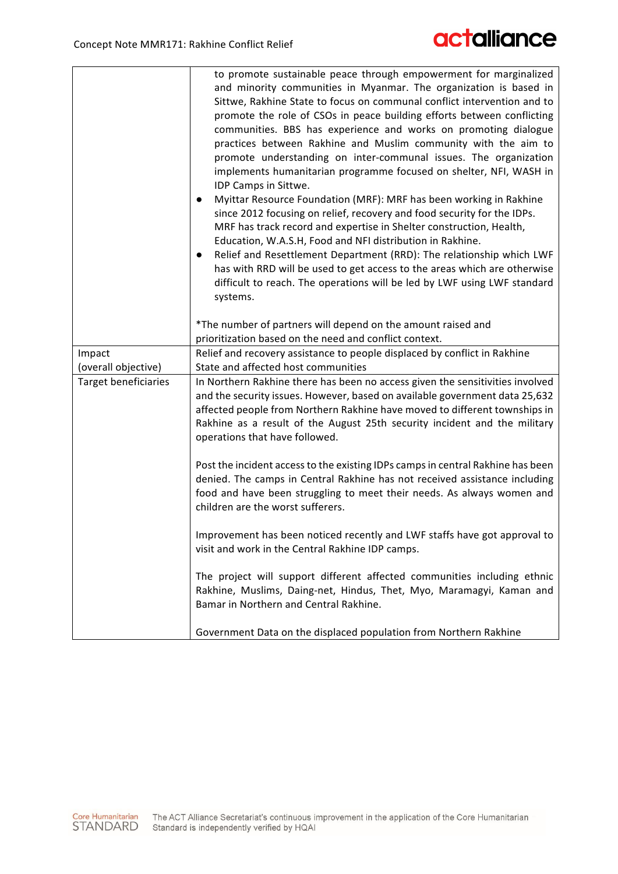|                               | to promote sustainable peace through empowerment for marginalized<br>and minority communities in Myanmar. The organization is based in<br>Sittwe, Rakhine State to focus on communal conflict intervention and to<br>promote the role of CSOs in peace building efforts between conflicting<br>communities. BBS has experience and works on promoting dialogue<br>practices between Rakhine and Muslim community with the aim to<br>promote understanding on inter-communal issues. The organization<br>implements humanitarian programme focused on shelter, NFI, WASH in      |
|-------------------------------|---------------------------------------------------------------------------------------------------------------------------------------------------------------------------------------------------------------------------------------------------------------------------------------------------------------------------------------------------------------------------------------------------------------------------------------------------------------------------------------------------------------------------------------------------------------------------------|
|                               | IDP Camps in Sittwe.<br>Myittar Resource Foundation (MRF): MRF has been working in Rakhine<br>$\bullet$<br>since 2012 focusing on relief, recovery and food security for the IDPs.<br>MRF has track record and expertise in Shelter construction, Health,<br>Education, W.A.S.H, Food and NFI distribution in Rakhine.<br>Relief and Resettlement Department (RRD): The relationship which LWF<br>$\bullet$<br>has with RRD will be used to get access to the areas which are otherwise<br>difficult to reach. The operations will be led by LWF using LWF standard<br>systems. |
|                               | *The number of partners will depend on the amount raised and<br>prioritization based on the need and conflict context.                                                                                                                                                                                                                                                                                                                                                                                                                                                          |
| Impact<br>(overall objective) | Relief and recovery assistance to people displaced by conflict in Rakhine<br>State and affected host communities                                                                                                                                                                                                                                                                                                                                                                                                                                                                |
| <b>Target beneficiaries</b>   | In Northern Rakhine there has been no access given the sensitivities involved<br>and the security issues. However, based on available government data 25,632<br>affected people from Northern Rakhine have moved to different townships in<br>Rakhine as a result of the August 25th security incident and the military<br>operations that have followed.                                                                                                                                                                                                                       |
|                               | Post the incident access to the existing IDPs camps in central Rakhine has been<br>denied. The camps in Central Rakhine has not received assistance including<br>food and have been struggling to meet their needs. As always women and<br>children are the worst sufferers.                                                                                                                                                                                                                                                                                                    |
|                               | Improvement has been noticed recently and LWF staffs have got approval to<br>visit and work in the Central Rakhine IDP camps.                                                                                                                                                                                                                                                                                                                                                                                                                                                   |
|                               | The project will support different affected communities including ethnic<br>Rakhine, Muslims, Daing-net, Hindus, Thet, Myo, Maramagyi, Kaman and<br>Bamar in Northern and Central Rakhine.                                                                                                                                                                                                                                                                                                                                                                                      |
|                               | Government Data on the displaced population from Northern Rakhine                                                                                                                                                                                                                                                                                                                                                                                                                                                                                                               |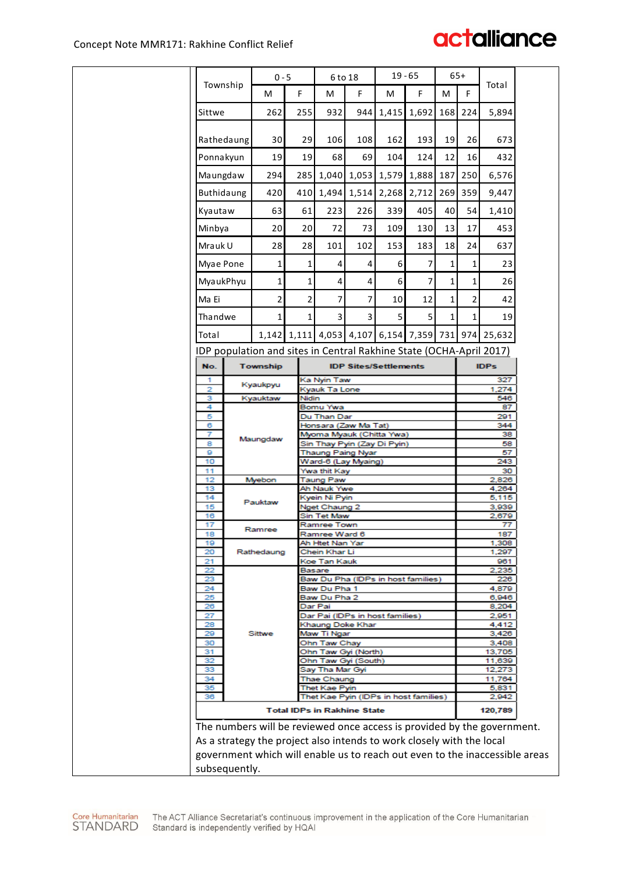| Township<br>Total<br>F.<br>F<br>М<br>M<br>M<br>F<br>M<br>F.<br>932<br>168<br>262<br>255<br>944 I<br>1,415<br>1,692<br>224<br>Sittwe<br>5,894<br>Rathedaung<br>30 <sup>1</sup><br>29<br>106<br>162<br>19<br>26<br>108<br>193<br>673<br>19<br>12<br>16<br>Ponnakyun<br>19<br>68<br>69<br>104<br>124<br>432<br>Maungdaw<br>1,040 1,053 1,579<br>1,888<br>187<br>294<br>285<br>250<br>6,576<br>Buthidaung<br>420<br>410<br>1,494 1,514<br>2,268<br>2,712<br>269<br>359<br>9,447<br>339<br>405<br>63<br>61<br>223<br>226<br>40<br>54<br>1,410<br>Kyautaw<br>109<br>Minbya<br>20<br>20<br>72<br>73<br>130<br>13<br>453<br>17<br>18<br>Mrauk U<br>28<br>28<br>153<br>24<br>101<br>102<br>183<br>637<br>Myae Pone<br>1<br>$\mathbf{1}$<br>$\vert$<br>6<br>7<br>1<br>23<br>4<br>1<br>MyaukPhyu<br>1<br>1<br>4<br>4<br>6<br>7<br>1<br>1<br>26<br>2<br>2<br>7<br>Ma Ei<br>7<br>10<br>12<br>1<br>2<br>42<br>Thandwe<br>1<br>1<br>$\overline{3}$<br>3 <sup>1</sup><br>5<br>5<br>1<br>1<br>19<br>1,111 4,053 4,107 6,154 7,359 731<br>974 25,632<br>Total<br>1,142<br>IDP population and sites in Central Rakhine State (OCHA-April 2017)<br>Township<br><b>IDPs</b><br>No.<br><b>IDP Sites/Settlements</b><br>Ka Nyin Taw<br>327<br>1<br>Kyaukpyu<br>2<br>1,274<br>Kyauk Ta Lone<br>546<br>Nidin<br>з<br>Kyauktaw<br>4<br>Bomu Ywa<br>87<br>5<br>Du Than Dar<br>291<br>344<br>6<br>Honsara (Zaw Ma Tat)<br>Myoma Myauk (Chitta Ywa)<br>38<br>7<br>Maungdaw<br>Sin Thay Pyin (Zay Di Pyin)<br>58<br>8<br>9<br>57<br><b>Thaung Paing Nyar</b><br>243<br>10<br>Ward-6 (Lay Myaing)<br>11<br>Ywa thit Kay<br>30<br>12<br><b>Taung Paw</b><br>2,826<br>Myebon<br>13<br>4,264<br>Ah Nauk Ywe<br>Kyein Ni Pyin<br>14<br>5,115<br>Pauktaw<br>15<br>3,939<br>Nget Chaung 2<br>Sin Tet Maw<br>2,679<br>16<br>17<br>Ramree Town<br>77<br>Ramree<br>18<br>Ramree Ward 6<br>187<br>19<br>Ah Htet Nan Yar<br>1,308<br>20<br>Chein Khar Li<br>1,297<br>Rathedaung<br>21<br>Koe Tan Kauk<br>961<br>2,235<br>22<br>Basare |  |
|---------------------------------------------------------------------------------------------------------------------------------------------------------------------------------------------------------------------------------------------------------------------------------------------------------------------------------------------------------------------------------------------------------------------------------------------------------------------------------------------------------------------------------------------------------------------------------------------------------------------------------------------------------------------------------------------------------------------------------------------------------------------------------------------------------------------------------------------------------------------------------------------------------------------------------------------------------------------------------------------------------------------------------------------------------------------------------------------------------------------------------------------------------------------------------------------------------------------------------------------------------------------------------------------------------------------------------------------------------------------------------------------------------------------------------------------------------------------------------------------------------------------------------------------------------------------------------------------------------------------------------------------------------------------------------------------------------------------------------------------------------------------------------------------------------------------------------------------------------------------------------------------------------------------------------------------------------------------------------------------|--|
|                                                                                                                                                                                                                                                                                                                                                                                                                                                                                                                                                                                                                                                                                                                                                                                                                                                                                                                                                                                                                                                                                                                                                                                                                                                                                                                                                                                                                                                                                                                                                                                                                                                                                                                                                                                                                                                                                                                                                                                             |  |
|                                                                                                                                                                                                                                                                                                                                                                                                                                                                                                                                                                                                                                                                                                                                                                                                                                                                                                                                                                                                                                                                                                                                                                                                                                                                                                                                                                                                                                                                                                                                                                                                                                                                                                                                                                                                                                                                                                                                                                                             |  |
|                                                                                                                                                                                                                                                                                                                                                                                                                                                                                                                                                                                                                                                                                                                                                                                                                                                                                                                                                                                                                                                                                                                                                                                                                                                                                                                                                                                                                                                                                                                                                                                                                                                                                                                                                                                                                                                                                                                                                                                             |  |
|                                                                                                                                                                                                                                                                                                                                                                                                                                                                                                                                                                                                                                                                                                                                                                                                                                                                                                                                                                                                                                                                                                                                                                                                                                                                                                                                                                                                                                                                                                                                                                                                                                                                                                                                                                                                                                                                                                                                                                                             |  |
|                                                                                                                                                                                                                                                                                                                                                                                                                                                                                                                                                                                                                                                                                                                                                                                                                                                                                                                                                                                                                                                                                                                                                                                                                                                                                                                                                                                                                                                                                                                                                                                                                                                                                                                                                                                                                                                                                                                                                                                             |  |
|                                                                                                                                                                                                                                                                                                                                                                                                                                                                                                                                                                                                                                                                                                                                                                                                                                                                                                                                                                                                                                                                                                                                                                                                                                                                                                                                                                                                                                                                                                                                                                                                                                                                                                                                                                                                                                                                                                                                                                                             |  |
|                                                                                                                                                                                                                                                                                                                                                                                                                                                                                                                                                                                                                                                                                                                                                                                                                                                                                                                                                                                                                                                                                                                                                                                                                                                                                                                                                                                                                                                                                                                                                                                                                                                                                                                                                                                                                                                                                                                                                                                             |  |
|                                                                                                                                                                                                                                                                                                                                                                                                                                                                                                                                                                                                                                                                                                                                                                                                                                                                                                                                                                                                                                                                                                                                                                                                                                                                                                                                                                                                                                                                                                                                                                                                                                                                                                                                                                                                                                                                                                                                                                                             |  |
|                                                                                                                                                                                                                                                                                                                                                                                                                                                                                                                                                                                                                                                                                                                                                                                                                                                                                                                                                                                                                                                                                                                                                                                                                                                                                                                                                                                                                                                                                                                                                                                                                                                                                                                                                                                                                                                                                                                                                                                             |  |
|                                                                                                                                                                                                                                                                                                                                                                                                                                                                                                                                                                                                                                                                                                                                                                                                                                                                                                                                                                                                                                                                                                                                                                                                                                                                                                                                                                                                                                                                                                                                                                                                                                                                                                                                                                                                                                                                                                                                                                                             |  |
|                                                                                                                                                                                                                                                                                                                                                                                                                                                                                                                                                                                                                                                                                                                                                                                                                                                                                                                                                                                                                                                                                                                                                                                                                                                                                                                                                                                                                                                                                                                                                                                                                                                                                                                                                                                                                                                                                                                                                                                             |  |
|                                                                                                                                                                                                                                                                                                                                                                                                                                                                                                                                                                                                                                                                                                                                                                                                                                                                                                                                                                                                                                                                                                                                                                                                                                                                                                                                                                                                                                                                                                                                                                                                                                                                                                                                                                                                                                                                                                                                                                                             |  |
|                                                                                                                                                                                                                                                                                                                                                                                                                                                                                                                                                                                                                                                                                                                                                                                                                                                                                                                                                                                                                                                                                                                                                                                                                                                                                                                                                                                                                                                                                                                                                                                                                                                                                                                                                                                                                                                                                                                                                                                             |  |
|                                                                                                                                                                                                                                                                                                                                                                                                                                                                                                                                                                                                                                                                                                                                                                                                                                                                                                                                                                                                                                                                                                                                                                                                                                                                                                                                                                                                                                                                                                                                                                                                                                                                                                                                                                                                                                                                                                                                                                                             |  |
|                                                                                                                                                                                                                                                                                                                                                                                                                                                                                                                                                                                                                                                                                                                                                                                                                                                                                                                                                                                                                                                                                                                                                                                                                                                                                                                                                                                                                                                                                                                                                                                                                                                                                                                                                                                                                                                                                                                                                                                             |  |
|                                                                                                                                                                                                                                                                                                                                                                                                                                                                                                                                                                                                                                                                                                                                                                                                                                                                                                                                                                                                                                                                                                                                                                                                                                                                                                                                                                                                                                                                                                                                                                                                                                                                                                                                                                                                                                                                                                                                                                                             |  |
|                                                                                                                                                                                                                                                                                                                                                                                                                                                                                                                                                                                                                                                                                                                                                                                                                                                                                                                                                                                                                                                                                                                                                                                                                                                                                                                                                                                                                                                                                                                                                                                                                                                                                                                                                                                                                                                                                                                                                                                             |  |
|                                                                                                                                                                                                                                                                                                                                                                                                                                                                                                                                                                                                                                                                                                                                                                                                                                                                                                                                                                                                                                                                                                                                                                                                                                                                                                                                                                                                                                                                                                                                                                                                                                                                                                                                                                                                                                                                                                                                                                                             |  |
|                                                                                                                                                                                                                                                                                                                                                                                                                                                                                                                                                                                                                                                                                                                                                                                                                                                                                                                                                                                                                                                                                                                                                                                                                                                                                                                                                                                                                                                                                                                                                                                                                                                                                                                                                                                                                                                                                                                                                                                             |  |
|                                                                                                                                                                                                                                                                                                                                                                                                                                                                                                                                                                                                                                                                                                                                                                                                                                                                                                                                                                                                                                                                                                                                                                                                                                                                                                                                                                                                                                                                                                                                                                                                                                                                                                                                                                                                                                                                                                                                                                                             |  |
|                                                                                                                                                                                                                                                                                                                                                                                                                                                                                                                                                                                                                                                                                                                                                                                                                                                                                                                                                                                                                                                                                                                                                                                                                                                                                                                                                                                                                                                                                                                                                                                                                                                                                                                                                                                                                                                                                                                                                                                             |  |
|                                                                                                                                                                                                                                                                                                                                                                                                                                                                                                                                                                                                                                                                                                                                                                                                                                                                                                                                                                                                                                                                                                                                                                                                                                                                                                                                                                                                                                                                                                                                                                                                                                                                                                                                                                                                                                                                                                                                                                                             |  |
|                                                                                                                                                                                                                                                                                                                                                                                                                                                                                                                                                                                                                                                                                                                                                                                                                                                                                                                                                                                                                                                                                                                                                                                                                                                                                                                                                                                                                                                                                                                                                                                                                                                                                                                                                                                                                                                                                                                                                                                             |  |
|                                                                                                                                                                                                                                                                                                                                                                                                                                                                                                                                                                                                                                                                                                                                                                                                                                                                                                                                                                                                                                                                                                                                                                                                                                                                                                                                                                                                                                                                                                                                                                                                                                                                                                                                                                                                                                                                                                                                                                                             |  |
|                                                                                                                                                                                                                                                                                                                                                                                                                                                                                                                                                                                                                                                                                                                                                                                                                                                                                                                                                                                                                                                                                                                                                                                                                                                                                                                                                                                                                                                                                                                                                                                                                                                                                                                                                                                                                                                                                                                                                                                             |  |
|                                                                                                                                                                                                                                                                                                                                                                                                                                                                                                                                                                                                                                                                                                                                                                                                                                                                                                                                                                                                                                                                                                                                                                                                                                                                                                                                                                                                                                                                                                                                                                                                                                                                                                                                                                                                                                                                                                                                                                                             |  |
|                                                                                                                                                                                                                                                                                                                                                                                                                                                                                                                                                                                                                                                                                                                                                                                                                                                                                                                                                                                                                                                                                                                                                                                                                                                                                                                                                                                                                                                                                                                                                                                                                                                                                                                                                                                                                                                                                                                                                                                             |  |
|                                                                                                                                                                                                                                                                                                                                                                                                                                                                                                                                                                                                                                                                                                                                                                                                                                                                                                                                                                                                                                                                                                                                                                                                                                                                                                                                                                                                                                                                                                                                                                                                                                                                                                                                                                                                                                                                                                                                                                                             |  |
|                                                                                                                                                                                                                                                                                                                                                                                                                                                                                                                                                                                                                                                                                                                                                                                                                                                                                                                                                                                                                                                                                                                                                                                                                                                                                                                                                                                                                                                                                                                                                                                                                                                                                                                                                                                                                                                                                                                                                                                             |  |
|                                                                                                                                                                                                                                                                                                                                                                                                                                                                                                                                                                                                                                                                                                                                                                                                                                                                                                                                                                                                                                                                                                                                                                                                                                                                                                                                                                                                                                                                                                                                                                                                                                                                                                                                                                                                                                                                                                                                                                                             |  |
|                                                                                                                                                                                                                                                                                                                                                                                                                                                                                                                                                                                                                                                                                                                                                                                                                                                                                                                                                                                                                                                                                                                                                                                                                                                                                                                                                                                                                                                                                                                                                                                                                                                                                                                                                                                                                                                                                                                                                                                             |  |
| 23<br>226                                                                                                                                                                                                                                                                                                                                                                                                                                                                                                                                                                                                                                                                                                                                                                                                                                                                                                                                                                                                                                                                                                                                                                                                                                                                                                                                                                                                                                                                                                                                                                                                                                                                                                                                                                                                                                                                                                                                                                                   |  |
| Baw Du Pha (IDPs in host families)<br>24<br>Baw Du Pha 1<br>4,879                                                                                                                                                                                                                                                                                                                                                                                                                                                                                                                                                                                                                                                                                                                                                                                                                                                                                                                                                                                                                                                                                                                                                                                                                                                                                                                                                                                                                                                                                                                                                                                                                                                                                                                                                                                                                                                                                                                           |  |
| 25<br>Baw Du Pha 2<br>6,946                                                                                                                                                                                                                                                                                                                                                                                                                                                                                                                                                                                                                                                                                                                                                                                                                                                                                                                                                                                                                                                                                                                                                                                                                                                                                                                                                                                                                                                                                                                                                                                                                                                                                                                                                                                                                                                                                                                                                                 |  |
| 26<br>Dar Pai<br>8,204<br>27<br>Dar Pai (IDPs in host families)<br>2,951                                                                                                                                                                                                                                                                                                                                                                                                                                                                                                                                                                                                                                                                                                                                                                                                                                                                                                                                                                                                                                                                                                                                                                                                                                                                                                                                                                                                                                                                                                                                                                                                                                                                                                                                                                                                                                                                                                                    |  |
| 4,412<br>28<br>Khaung Doke Khar                                                                                                                                                                                                                                                                                                                                                                                                                                                                                                                                                                                                                                                                                                                                                                                                                                                                                                                                                                                                                                                                                                                                                                                                                                                                                                                                                                                                                                                                                                                                                                                                                                                                                                                                                                                                                                                                                                                                                             |  |
| Sittwe<br>Maw Ti Ngar<br>3,426<br>29                                                                                                                                                                                                                                                                                                                                                                                                                                                                                                                                                                                                                                                                                                                                                                                                                                                                                                                                                                                                                                                                                                                                                                                                                                                                                                                                                                                                                                                                                                                                                                                                                                                                                                                                                                                                                                                                                                                                                        |  |
| 30<br>Ohn Taw Chay<br>3,408<br>Ohn Taw Gyi (North)<br>31<br>13,705                                                                                                                                                                                                                                                                                                                                                                                                                                                                                                                                                                                                                                                                                                                                                                                                                                                                                                                                                                                                                                                                                                                                                                                                                                                                                                                                                                                                                                                                                                                                                                                                                                                                                                                                                                                                                                                                                                                          |  |
| 32<br>Ohn Taw Gyi (South)<br>11,639                                                                                                                                                                                                                                                                                                                                                                                                                                                                                                                                                                                                                                                                                                                                                                                                                                                                                                                                                                                                                                                                                                                                                                                                                                                                                                                                                                                                                                                                                                                                                                                                                                                                                                                                                                                                                                                                                                                                                         |  |
| 33<br>Say Tha Mar Gyi<br>12,273                                                                                                                                                                                                                                                                                                                                                                                                                                                                                                                                                                                                                                                                                                                                                                                                                                                                                                                                                                                                                                                                                                                                                                                                                                                                                                                                                                                                                                                                                                                                                                                                                                                                                                                                                                                                                                                                                                                                                             |  |
| 34<br>Thae Chaung<br>11,764<br>35<br>Thet Kae Pyin<br>5,831                                                                                                                                                                                                                                                                                                                                                                                                                                                                                                                                                                                                                                                                                                                                                                                                                                                                                                                                                                                                                                                                                                                                                                                                                                                                                                                                                                                                                                                                                                                                                                                                                                                                                                                                                                                                                                                                                                                                 |  |
| 36<br>2,942<br>Thet Kae Pyin (IDPs in host families)                                                                                                                                                                                                                                                                                                                                                                                                                                                                                                                                                                                                                                                                                                                                                                                                                                                                                                                                                                                                                                                                                                                                                                                                                                                                                                                                                                                                                                                                                                                                                                                                                                                                                                                                                                                                                                                                                                                                        |  |
| 120,789<br><b>Total IDPs in Rakhine State</b>                                                                                                                                                                                                                                                                                                                                                                                                                                                                                                                                                                                                                                                                                                                                                                                                                                                                                                                                                                                                                                                                                                                                                                                                                                                                                                                                                                                                                                                                                                                                                                                                                                                                                                                                                                                                                                                                                                                                               |  |
| The numbers will be reviewed once access is provided by the government.                                                                                                                                                                                                                                                                                                                                                                                                                                                                                                                                                                                                                                                                                                                                                                                                                                                                                                                                                                                                                                                                                                                                                                                                                                                                                                                                                                                                                                                                                                                                                                                                                                                                                                                                                                                                                                                                                                                     |  |
| As a strategy the project also intends to work closely with the local<br>government which will enable us to reach out even to the inaccessible areas                                                                                                                                                                                                                                                                                                                                                                                                                                                                                                                                                                                                                                                                                                                                                                                                                                                                                                                                                                                                                                                                                                                                                                                                                                                                                                                                                                                                                                                                                                                                                                                                                                                                                                                                                                                                                                        |  |
| subsequently.                                                                                                                                                                                                                                                                                                                                                                                                                                                                                                                                                                                                                                                                                                                                                                                                                                                                                                                                                                                                                                                                                                                                                                                                                                                                                                                                                                                                                                                                                                                                                                                                                                                                                                                                                                                                                                                                                                                                                                               |  |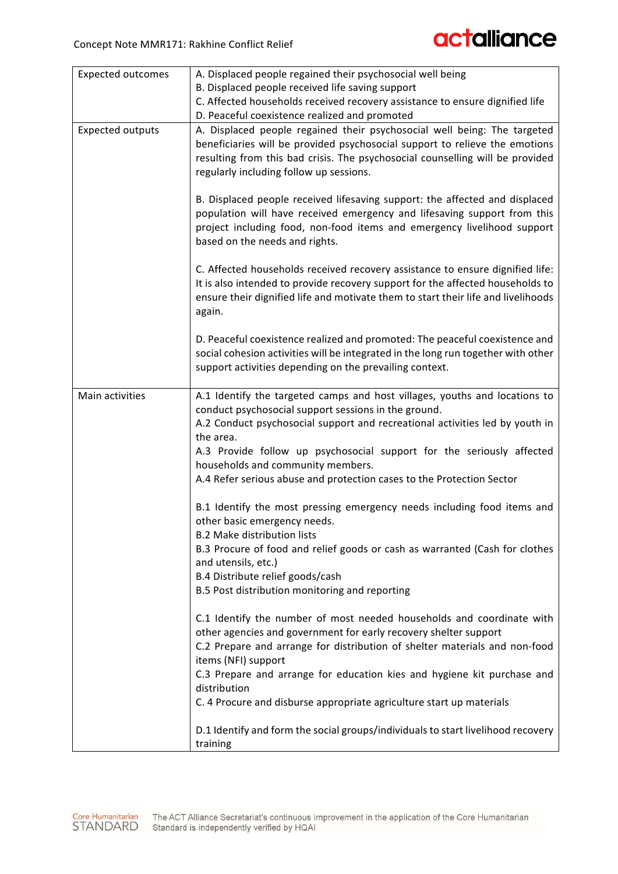| <b>Expected outcomes</b> | A. Displaced people regained their psychosocial well being                                |
|--------------------------|-------------------------------------------------------------------------------------------|
|                          | B. Displaced people received life saving support                                          |
|                          | C. Affected households received recovery assistance to ensure dignified life              |
|                          | D. Peaceful coexistence realized and promoted                                             |
| <b>Expected outputs</b>  | A. Displaced people regained their psychosocial well being: The targeted                  |
|                          | beneficiaries will be provided psychosocial support to relieve the emotions               |
|                          | resulting from this bad crisis. The psychosocial counselling will be provided             |
|                          | regularly including follow up sessions.                                                   |
|                          |                                                                                           |
|                          | B. Displaced people received lifesaving support: the affected and displaced               |
|                          | population will have received emergency and lifesaving support from this                  |
|                          | project including food, non-food items and emergency livelihood support                   |
|                          | based on the needs and rights.                                                            |
|                          | C. Affected households received recovery assistance to ensure dignified life:             |
|                          | It is also intended to provide recovery support for the affected households to            |
|                          | ensure their dignified life and motivate them to start their life and livelihoods         |
|                          | again.                                                                                    |
|                          |                                                                                           |
|                          | D. Peaceful coexistence realized and promoted: The peaceful coexistence and               |
|                          | social cohesion activities will be integrated in the long run together with other         |
|                          | support activities depending on the prevailing context.                                   |
|                          |                                                                                           |
| Main activities          | A.1 Identify the targeted camps and host villages, youths and locations to                |
|                          | conduct psychosocial support sessions in the ground.                                      |
|                          | A.2 Conduct psychosocial support and recreational activities led by youth in<br>the area. |
|                          | A.3 Provide follow up psychosocial support for the seriously affected                     |
|                          | households and community members.                                                         |
|                          | A.4 Refer serious abuse and protection cases to the Protection Sector                     |
|                          |                                                                                           |
|                          | B.1 Identify the most pressing emergency needs including food items and                   |
|                          | other basic emergency needs.                                                              |
|                          | <b>B.2 Make distribution lists</b>                                                        |
|                          | B.3 Procure of food and relief goods or cash as warranted (Cash for clothes               |
|                          | and utensils, etc.)                                                                       |
|                          | B.4 Distribute relief goods/cash                                                          |
|                          | B.5 Post distribution monitoring and reporting                                            |
|                          | C.1 Identify the number of most needed households and coordinate with                     |
|                          | other agencies and government for early recovery shelter support                          |
|                          | C.2 Prepare and arrange for distribution of shelter materials and non-food                |
|                          | items (NFI) support                                                                       |
|                          | C.3 Prepare and arrange for education kies and hygiene kit purchase and                   |
|                          | distribution                                                                              |
|                          | C. 4 Procure and disburse appropriate agriculture start up materials                      |
|                          |                                                                                           |
|                          | D.1 Identify and form the social groups/individuals to start livelihood recovery          |
|                          | training                                                                                  |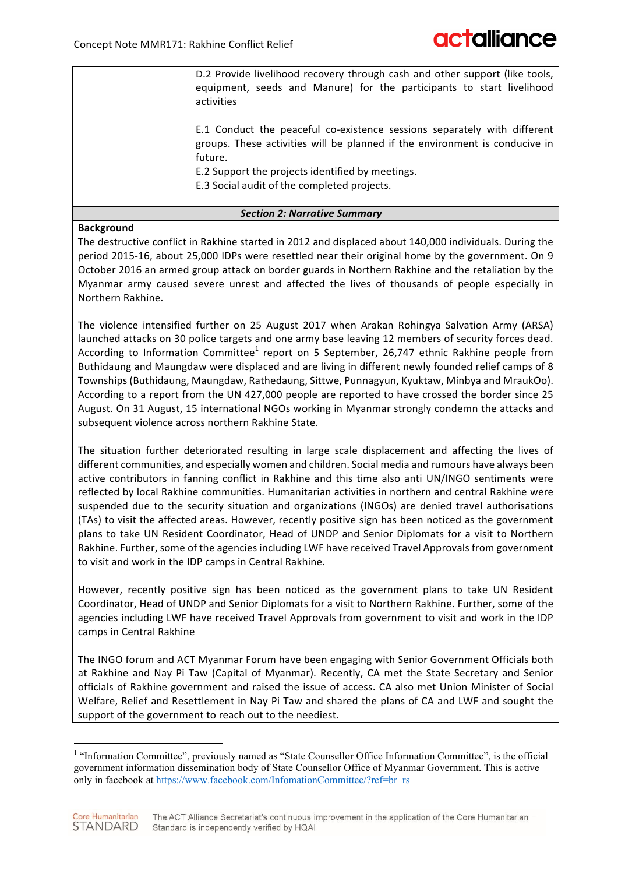| D.2 Provide livelihood recovery through cash and other support (like tools,<br>equipment, seeds and Manure) for the participants to start livelihood<br>activities                                                                                                    |
|-----------------------------------------------------------------------------------------------------------------------------------------------------------------------------------------------------------------------------------------------------------------------|
| E.1 Conduct the peaceful co-existence sessions separately with different<br>groups. These activities will be planned if the environment is conducive in<br>future.<br>E.2 Support the projects identified by meetings.<br>E.3 Social audit of the completed projects. |

#### *Section 2: Narrative Summary*

#### **Background**

The destructive conflict in Rakhine started in 2012 and displaced about 140,000 individuals. During the period 2015-16, about 25,000 IDPs were resettled near their original home by the government. On 9 October 2016 an armed group attack on border guards in Northern Rakhine and the retaliation by the Myanmar army caused severe unrest and affected the lives of thousands of people especially in Northern Rakhine.

The violence intensified further on 25 August 2017 when Arakan Rohingya Salvation Army (ARSA) launched attacks on 30 police targets and one army base leaving 12 members of security forces dead. According to Information Committee<sup>1</sup> report on 5 September, 26,747 ethnic Rakhine people from Buthidaung and Maungdaw were displaced and are living in different newly founded relief camps of 8 Townships (Buthidaung, Maungdaw, Rathedaung, Sittwe, Punnagyun, Kyuktaw, Minbya and MraukOo). According to a report from the UN 427,000 people are reported to have crossed the border since 25 August. On 31 August, 15 international NGOs working in Myanmar strongly condemn the attacks and subsequent violence across northern Rakhine State.

The situation further deteriorated resulting in large scale displacement and affecting the lives of different communities, and especially women and children. Social media and rumours have always been active contributors in fanning conflict in Rakhine and this time also anti UN/INGO sentiments were reflected by local Rakhine communities. Humanitarian activities in northern and central Rakhine were suspended due to the security situation and organizations (INGOs) are denied travel authorisations (TAs) to visit the affected areas. However, recently positive sign has been noticed as the government plans to take UN Resident Coordinator, Head of UNDP and Senior Diplomats for a visit to Northern Rakhine. Further, some of the agencies including LWF have received Travel Approvals from government to visit and work in the IDP camps in Central Rakhine.

However, recently positive sign has been noticed as the government plans to take UN Resident Coordinator, Head of UNDP and Senior Diplomats for a visit to Northern Rakhine. Further, some of the agencies including LWF have received Travel Approvals from government to visit and work in the IDP camps in Central Rakhine

The INGO forum and ACT Myanmar Forum have been engaging with Senior Government Officials both at Rakhine and Nay Pi Taw (Capital of Myanmar). Recently, CA met the State Secretary and Senior officials of Rakhine government and raised the issue of access. CA also met Union Minister of Social Welfare, Relief and Resettlement in Nay Pi Taw and shared the plans of CA and LWF and sought the support of the government to reach out to the neediest.

<sup>&</sup>lt;sup>1</sup> "Information Committee", previously named as "State Counsellor Office Information Committee", is the official government information dissemination body of State Counsellor Office of Myanmar Government. This is active only in facebook at https://www.facebook.com/InfomationCommittee/?ref=br\_rs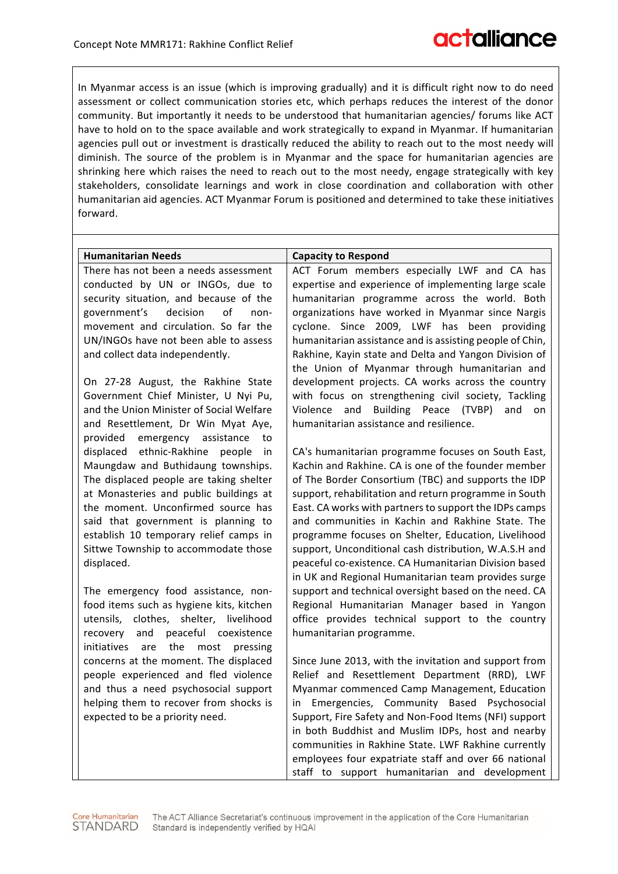In Myanmar access is an issue (which is improving gradually) and it is difficult right now to do need assessment or collect communication stories etc, which perhaps reduces the interest of the donor community. But importantly it needs to be understood that humanitarian agencies/ forums like ACT have to hold on to the space available and work strategically to expand in Myanmar. If humanitarian agencies pull out or investment is drastically reduced the ability to reach out to the most needy will diminish. The source of the problem is in Myanmar and the space for humanitarian agencies are shrinking here which raises the need to reach out to the most needy, engage strategically with key stakeholders, consolidate learnings and work in close coordination and collaboration with other humanitarian aid agencies. ACT Myanmar Forum is positioned and determined to take these initiatives forward.

| <b>Humanitarian Needs</b>                                                         | <b>Capacity to Respond</b>                                                                                   |
|-----------------------------------------------------------------------------------|--------------------------------------------------------------------------------------------------------------|
| There has not been a needs assessment                                             | ACT Forum members especially LWF and CA has                                                                  |
| conducted by UN or INGOs, due to                                                  | expertise and experience of implementing large scale                                                         |
| security situation, and because of the                                            | humanitarian programme across the world. Both                                                                |
| government's<br>decision<br>of<br>non-                                            | organizations have worked in Myanmar since Nargis                                                            |
| movement and circulation. So far the                                              | cyclone. Since 2009, LWF has been providing                                                                  |
| UN/INGOs have not been able to assess                                             | humanitarian assistance and is assisting people of Chin,                                                     |
| and collect data independently.                                                   | Rakhine, Kayin state and Delta and Yangon Division of                                                        |
|                                                                                   | the Union of Myanmar through humanitarian and                                                                |
| On 27-28 August, the Rakhine State                                                | development projects. CA works across the country                                                            |
| Government Chief Minister, U Nyi Pu,                                              | with focus on strengthening civil society, Tackling                                                          |
| and the Union Minister of Social Welfare                                          | Violence and Building Peace (TVBP)<br>and<br>on                                                              |
| and Resettlement, Dr Win Myat Aye,                                                | humanitarian assistance and resilience.                                                                      |
| emergency assistance<br>provided<br>to                                            |                                                                                                              |
| displaced ethnic-Rakhine people<br>in                                             | CA's humanitarian programme focuses on South East,                                                           |
| Maungdaw and Buthidaung townships.                                                | Kachin and Rakhine. CA is one of the founder member                                                          |
| The displaced people are taking shelter<br>at Monasteries and public buildings at | of The Border Consortium (TBC) and supports the IDP<br>support, rehabilitation and return programme in South |
| the moment. Unconfirmed source has                                                | East. CA works with partners to support the IDPs camps                                                       |
| said that government is planning to                                               | and communities in Kachin and Rakhine State. The                                                             |
| establish 10 temporary relief camps in                                            | programme focuses on Shelter, Education, Livelihood                                                          |
| Sittwe Township to accommodate those                                              | support, Unconditional cash distribution, W.A.S.H and                                                        |
| displaced.                                                                        | peaceful co-existence. CA Humanitarian Division based                                                        |
|                                                                                   | in UK and Regional Humanitarian team provides surge                                                          |
| The emergency food assistance, non-                                               | support and technical oversight based on the need. CA                                                        |
| food items such as hygiene kits, kitchen                                          | Regional Humanitarian Manager based in Yangon                                                                |
| utensils, clothes, shelter, livelihood                                            | office provides technical support to the country                                                             |
| and<br>peaceful coexistence<br>recovery                                           | humanitarian programme.                                                                                      |
| initiatives<br>the<br>are<br>most<br>pressing                                     |                                                                                                              |
| concerns at the moment. The displaced                                             | Since June 2013, with the invitation and support from                                                        |
| people experienced and fled violence                                              | Relief and Resettlement Department (RRD), LWF                                                                |
| and thus a need psychosocial support                                              | Myanmar commenced Camp Management, Education                                                                 |
| helping them to recover from shocks is                                            | Emergencies, Community Based Psychosocial<br>in.                                                             |
| expected to be a priority need.                                                   | Support, Fire Safety and Non-Food Items (NFI) support                                                        |
|                                                                                   | in both Buddhist and Muslim IDPs, host and nearby                                                            |
|                                                                                   | communities in Rakhine State. LWF Rakhine currently                                                          |
|                                                                                   | employees four expatriate staff and over 66 national                                                         |
|                                                                                   | staff to support humanitarian and development                                                                |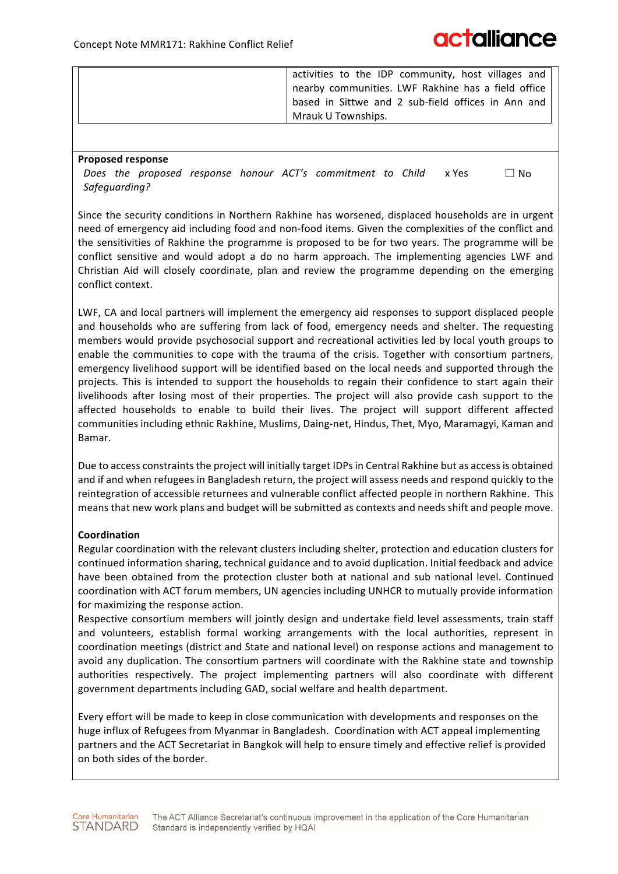| activities to the IDP community, host villages and<br>nearby communities. LWF Rakhine has a field office<br>based in Sittwe and 2 sub-field offices in Ann and |
|----------------------------------------------------------------------------------------------------------------------------------------------------------------|
| Mrauk U Townships.                                                                                                                                             |

#### **Proposed response**

Does the proposed response honour ACT's commitment to Child *Safeguarding?*   $x$  Yes  $\Box$  No

Since the security conditions in Northern Rakhine has worsened, displaced households are in urgent need of emergency aid including food and non-food items. Given the complexities of the conflict and the sensitivities of Rakhine the programme is proposed to be for two years. The programme will be conflict sensitive and would adopt a do no harm approach. The implementing agencies LWF and Christian Aid will closely coordinate, plan and review the programme depending on the emerging conflict context.

LWF, CA and local partners will implement the emergency aid responses to support displaced people and households who are suffering from lack of food, emergency needs and shelter. The requesting members would provide psychosocial support and recreational activities led by local youth groups to enable the communities to cope with the trauma of the crisis. Together with consortium partners, emergency livelihood support will be identified based on the local needs and supported through the projects. This is intended to support the households to regain their confidence to start again their livelihoods after losing most of their properties. The project will also provide cash support to the affected households to enable to build their lives. The project will support different affected communities including ethnic Rakhine, Muslims, Daing-net, Hindus, Thet, Myo, Maramagyi, Kaman and Bamar.

Due to access constraints the project will initially target IDPs in Central Rakhine but as access is obtained and if and when refugees in Bangladesh return, the project will assess needs and respond quickly to the reintegration of accessible returnees and vulnerable conflict affected people in northern Rakhine. This means that new work plans and budget will be submitted as contexts and needs shift and people move.

#### **Coordination**

Regular coordination with the relevant clusters including shelter, protection and education clusters for continued information sharing, technical guidance and to avoid duplication. Initial feedback and advice have been obtained from the protection cluster both at national and sub national level. Continued coordination with ACT forum members, UN agencies including UNHCR to mutually provide information for maximizing the response action.

Respective consortium members will jointly design and undertake field level assessments, train staff and volunteers, establish formal working arrangements with the local authorities, represent in coordination meetings (district and State and national level) on response actions and management to avoid any duplication. The consortium partners will coordinate with the Rakhine state and township authorities respectively. The project implementing partners will also coordinate with different government departments including GAD, social welfare and health department.

Every effort will be made to keep in close communication with developments and responses on the huge influx of Refugees from Myanmar in Bangladesh. Coordination with ACT appeal implementing partners and the ACT Secretariat in Bangkok will help to ensure timely and effective relief is provided on both sides of the border.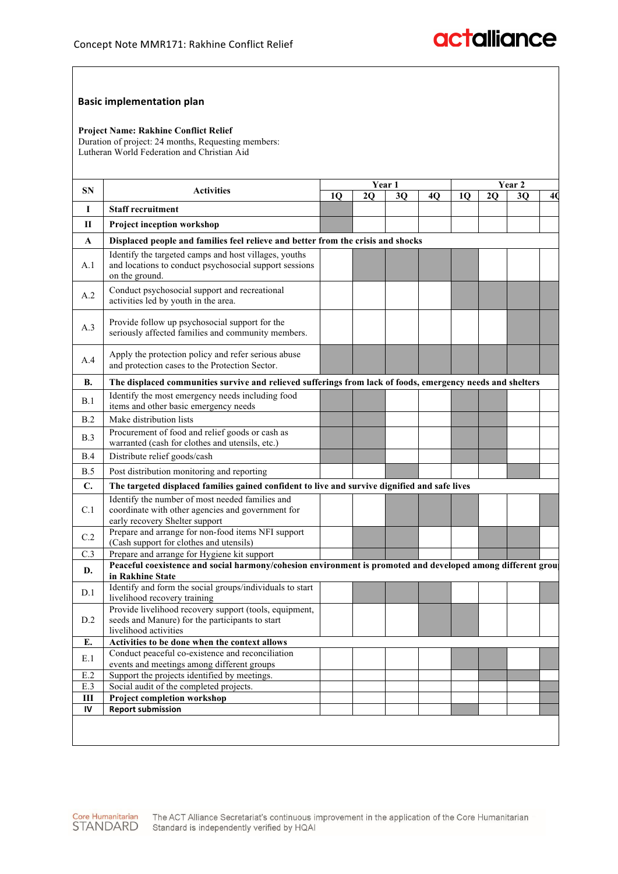#### **Basic implementation plan**

#### **Project Name: Rakhine Conflict Relief**

Duration of project: 24 months, Requesting members: Lutheran World Federation and Christian Aid

| SΝ             | <b>Activities</b>                                                                                                                      | Year 1 |    |    | Year 2 |    |    |    |    |
|----------------|----------------------------------------------------------------------------------------------------------------------------------------|--------|----|----|--------|----|----|----|----|
|                |                                                                                                                                        | 10     | 20 | 30 | 40     | 10 | 20 | 30 | 40 |
| I              | <b>Staff recruitment</b>                                                                                                               |        |    |    |        |    |    |    |    |
| П              | <b>Project inception workshop</b>                                                                                                      |        |    |    |        |    |    |    |    |
| A              | Displaced people and families feel relieve and better from the crisis and shocks                                                       |        |    |    |        |    |    |    |    |
| A.1            | Identify the targeted camps and host villages, youths<br>and locations to conduct psychosocial support sessions<br>on the ground.      |        |    |    |        |    |    |    |    |
| A.2            | Conduct psychosocial support and recreational<br>activities led by youth in the area.                                                  |        |    |    |        |    |    |    |    |
| A.3            | Provide follow up psychosocial support for the<br>seriously affected families and community members.                                   |        |    |    |        |    |    |    |    |
| A.4            | Apply the protection policy and refer serious abuse<br>and protection cases to the Protection Sector.                                  |        |    |    |        |    |    |    |    |
| В.             | The displaced communities survive and relieved sufferings from lack of foods, emergency needs and shelters                             |        |    |    |        |    |    |    |    |
| B.1            | Identify the most emergency needs including food<br>items and other basic emergency needs                                              |        |    |    |        |    |    |    |    |
| B.2            | Make distribution lists                                                                                                                |        |    |    |        |    |    |    |    |
| B.3            | Procurement of food and relief goods or cash as<br>warranted (cash for clothes and utensils, etc.)                                     |        |    |    |        |    |    |    |    |
| B.4            | Distribute relief goods/cash                                                                                                           |        |    |    |        |    |    |    |    |
| B.5            | Post distribution monitoring and reporting                                                                                             |        |    |    |        |    |    |    |    |
| $\mathbf{C}$ . | The targeted displaced families gained confident to live and survive dignified and safe lives                                          |        |    |    |        |    |    |    |    |
| C.1            | Identify the number of most needed families and<br>coordinate with other agencies and government for<br>early recovery Shelter support |        |    |    |        |    |    |    |    |
| C.2            | Prepare and arrange for non-food items NFI support<br>(Cash support for clothes and utensils)                                          |        |    |    |        |    |    |    |    |
| C.3            | Prepare and arrange for Hygiene kit support                                                                                            |        |    |    |        |    |    |    |    |
| D.             | Peaceful coexistence and social harmony/cohesion environment is promoted and developed among different group<br>in Rakhine State       |        |    |    |        |    |    |    |    |
| D.1            | Identify and form the social groups/individuals to start<br>livelihood recovery training                                               |        |    |    |        |    |    |    |    |
| D.2            | Provide livelihood recovery support (tools, equipment,<br>seeds and Manure) for the participants to start<br>livelihood activities     |        |    |    |        |    |    |    |    |
| E.             | Activities to be done when the context allows                                                                                          |        |    |    |        |    |    |    |    |
| E.1            | Conduct peaceful co-existence and reconciliation<br>events and meetings among different groups                                         |        |    |    |        |    |    |    |    |
| $E.2$          | Support the projects identified by meetings.                                                                                           |        |    |    |        |    |    |    |    |
| E.3            | Social audit of the completed projects.                                                                                                |        |    |    |        |    |    |    |    |
| Ш              | Project completion workshop                                                                                                            |        |    |    |        |    |    |    |    |
| IV             | <b>Report submission</b>                                                                                                               |        |    |    |        |    |    |    |    |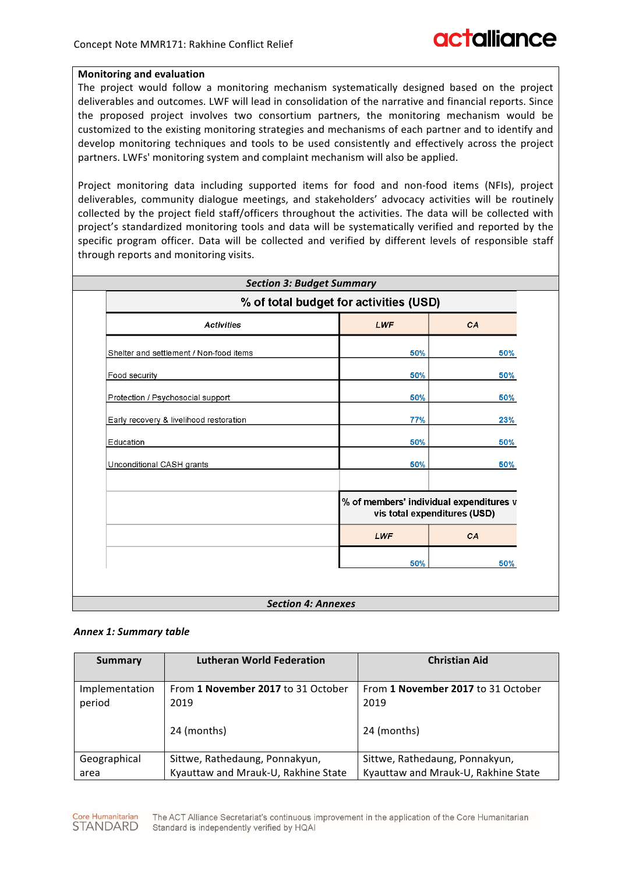#### **Monitoring and evaluation**

The project would follow a monitoring mechanism systematically designed based on the project deliverables and outcomes. LWF will lead in consolidation of the narrative and financial reports. Since the proposed project involves two consortium partners, the monitoring mechanism would be customized to the existing monitoring strategies and mechanisms of each partner and to identify and develop monitoring techniques and tools to be used consistently and effectively across the project partners. LWFs' monitoring system and complaint mechanism will also be applied.

Project monitoring data including supported items for food and non-food items (NFIs), project deliverables, community dialogue meetings, and stakeholders' advocacy activities will be routinely collected by the project field staff/officers throughout the activities. The data will be collected with project's standardized monitoring tools and data will be systematically verified and reported by the specific program officer. Data will be collected and verified by different levels of responsible staff through reports and monitoring visits.

| <b>Activities</b>                       | LWF                                                                     | CA  |
|-----------------------------------------|-------------------------------------------------------------------------|-----|
|                                         |                                                                         |     |
| Shelter and settlement / Non-food items | 50%                                                                     | 50% |
| Food security                           | 50%                                                                     | 50% |
| Protection / Psychosocial support       | 50%                                                                     | 50% |
| Early recovery & livelihood restoration | 77%                                                                     | 23% |
| Education                               | 50%                                                                     | 50% |
| Unconditional CASH grants               | 50%                                                                     | 50% |
|                                         | % of members' individual expenditures v<br>vis total expenditures (USD) |     |
|                                         | LWF                                                                     | CA  |
|                                         | 50%                                                                     | 50% |

#### **Section 4: Annexes**

#### *Annex 1: Summary table*

| Summary                  | <b>Lutheran World Federation</b>           | <b>Christian Aid</b>                       |
|--------------------------|--------------------------------------------|--------------------------------------------|
| Implementation<br>period | From 1 November 2017 to 31 October<br>2019 | From 1 November 2017 to 31 October<br>2019 |
|                          | 24 (months)                                | 24 (months)                                |
| Geographical             | Sittwe, Rathedaung, Ponnakyun,             | Sittwe, Rathedaung, Ponnakyun,             |
| area                     | Kyauttaw and Mrauk-U, Rakhine State        | Kyauttaw and Mrauk-U, Rakhine State        |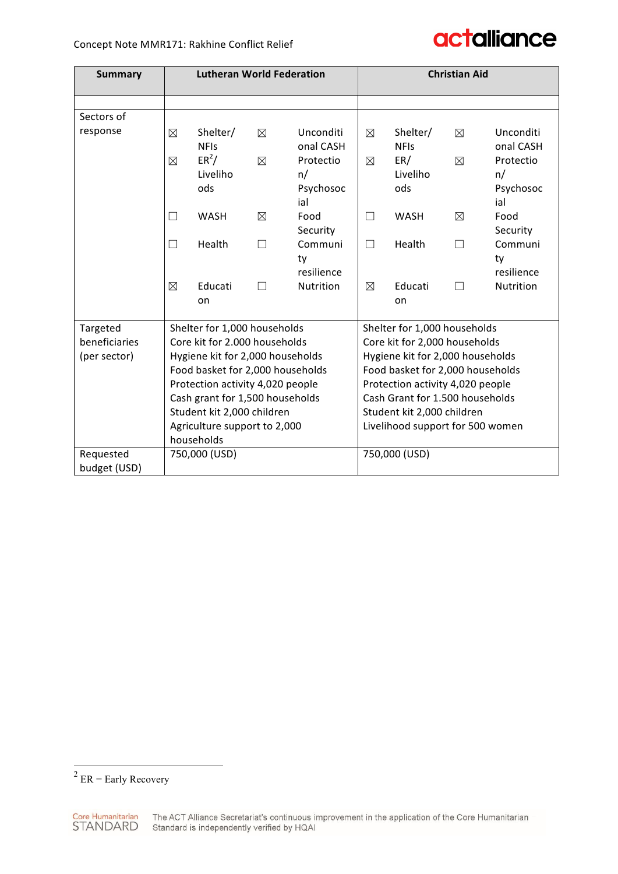| <b>Summary</b> | <b>Lutheran World Federation</b>                                            |                                           |                  | <b>Christian Aid</b>                                                 |                                  |                                            |                  |                                                  |
|----------------|-----------------------------------------------------------------------------|-------------------------------------------|------------------|----------------------------------------------------------------------|----------------------------------|--------------------------------------------|------------------|--------------------------------------------------|
|                |                                                                             |                                           |                  |                                                                      |                                  |                                            |                  |                                                  |
| Sectors of     |                                                                             |                                           |                  |                                                                      |                                  |                                            |                  |                                                  |
| response       | ⊠<br>$\boxtimes$                                                            | Shelter/<br><b>NFIs</b><br>$ER^2/$        | ⊠<br>$\boxtimes$ | Unconditi<br>onal CASH<br>Protectio                                  | ⊠<br>⊠                           | Shelter/<br><b>NFIs</b><br>ER/<br>Liveliho | ⊠<br>$\boxtimes$ | <b>Unconditi</b><br>onal CASH<br>Protectio<br>n/ |
|                |                                                                             | Liveliho<br>n/<br>ods<br>Psychosoc<br>ial |                  |                                                                      | ods                              |                                            | Psychosoc<br>ial |                                                  |
|                | Food<br><b>WASH</b><br>⊠<br>П<br>Security                                   |                                           | П                | <b>WASH</b>                                                          | X                                | Food<br>Security                           |                  |                                                  |
|                | Communi<br>Health<br>$\Box$<br>$\overline{\phantom{a}}$<br>ty<br>resilience |                                           |                  |                                                                      | П                                | Health                                     | $\Box$           | Communi<br>ty<br>resilience                      |
|                | Educati<br><b>Nutrition</b><br>⊠<br>П<br>on                                 |                                           | ⊠                | Educati<br>on                                                        | П                                | Nutrition                                  |                  |                                                  |
| Targeted       | Shelter for 1,000 households                                                |                                           |                  |                                                                      | Shelter for 1,000 households     |                                            |                  |                                                  |
| beneficiaries  | Core kit for 2.000 households                                               |                                           |                  |                                                                      |                                  | Core kit for 2,000 households              |                  |                                                  |
| (per sector)   | Hygiene kit for 2,000 households<br>Food basket for 2,000 households        |                                           |                  | Hygiene kit for 2,000 households<br>Food basket for 2,000 households |                                  |                                            |                  |                                                  |
|                | Protection activity 4,020 people                                            |                                           |                  |                                                                      | Protection activity 4,020 people |                                            |                  |                                                  |
|                | Cash grant for 1,500 households                                             |                                           |                  |                                                                      | Cash Grant for 1.500 households  |                                            |                  |                                                  |
|                | Student kit 2,000 children                                                  |                                           |                  |                                                                      | Student kit 2,000 children       |                                            |                  |                                                  |
|                | Agriculture support to 2,000<br>households                                  |                                           |                  | Livelihood support for 500 women                                     |                                  |                                            |                  |                                                  |
| Requested      |                                                                             | 750,000 (USD)                             |                  |                                                                      |                                  | 750,000 (USD)                              |                  |                                                  |
| budget (USD)   |                                                                             |                                           |                  |                                                                      |                                  |                                            |                  |                                                  |

 $2$  ER = Early Recovery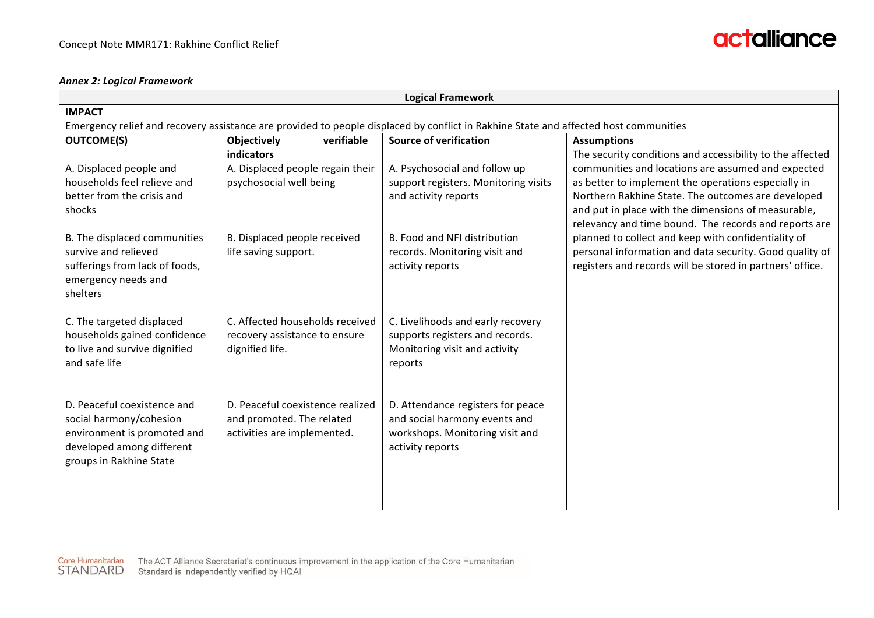#### *Annex 2: Logical Framework*

|                                                                                                                                               |                                                                                              | <b>Logical Framework</b>                                                                                                  |                                                                                                                                                                                                                                                                                                                                              |  |  |  |  |
|-----------------------------------------------------------------------------------------------------------------------------------------------|----------------------------------------------------------------------------------------------|---------------------------------------------------------------------------------------------------------------------------|----------------------------------------------------------------------------------------------------------------------------------------------------------------------------------------------------------------------------------------------------------------------------------------------------------------------------------------------|--|--|--|--|
| <b>IMPACT</b>                                                                                                                                 |                                                                                              |                                                                                                                           |                                                                                                                                                                                                                                                                                                                                              |  |  |  |  |
| Emergency relief and recovery assistance are provided to people displaced by conflict in Rakhine State and affected host communities          |                                                                                              |                                                                                                                           |                                                                                                                                                                                                                                                                                                                                              |  |  |  |  |
| <b>OUTCOME(S)</b>                                                                                                                             | Objectively<br>verifiable                                                                    | <b>Source of verification</b>                                                                                             | <b>Assumptions</b>                                                                                                                                                                                                                                                                                                                           |  |  |  |  |
| A. Displaced people and<br>households feel relieve and<br>better from the crisis and<br>shocks                                                | indicators<br>A. Displaced people regain their<br>psychosocial well being                    | A. Psychosocial and follow up<br>support registers. Monitoring visits<br>and activity reports                             | The security conditions and accessibility to the affected<br>communities and locations are assumed and expected<br>as better to implement the operations especially in<br>Northern Rakhine State. The outcomes are developed<br>and put in place with the dimensions of measurable,<br>relevancy and time bound. The records and reports are |  |  |  |  |
| B. The displaced communities<br>survive and relieved<br>sufferings from lack of foods,<br>emergency needs and<br>shelters                     | B. Displaced people received<br>life saving support.                                         | B. Food and NFI distribution<br>records. Monitoring visit and<br>activity reports                                         | planned to collect and keep with confidentiality of<br>personal information and data security. Good quality of<br>registers and records will be stored in partners' office.                                                                                                                                                                  |  |  |  |  |
| C. The targeted displaced<br>households gained confidence<br>to live and survive dignified<br>and safe life                                   | C. Affected households received<br>recovery assistance to ensure<br>dignified life.          | C. Livelihoods and early recovery<br>supports registers and records.<br>Monitoring visit and activity<br>reports          |                                                                                                                                                                                                                                                                                                                                              |  |  |  |  |
| D. Peaceful coexistence and<br>social harmony/cohesion<br>environment is promoted and<br>developed among different<br>groups in Rakhine State | D. Peaceful coexistence realized<br>and promoted. The related<br>activities are implemented. | D. Attendance registers for peace<br>and social harmony events and<br>workshops. Monitoring visit and<br>activity reports |                                                                                                                                                                                                                                                                                                                                              |  |  |  |  |

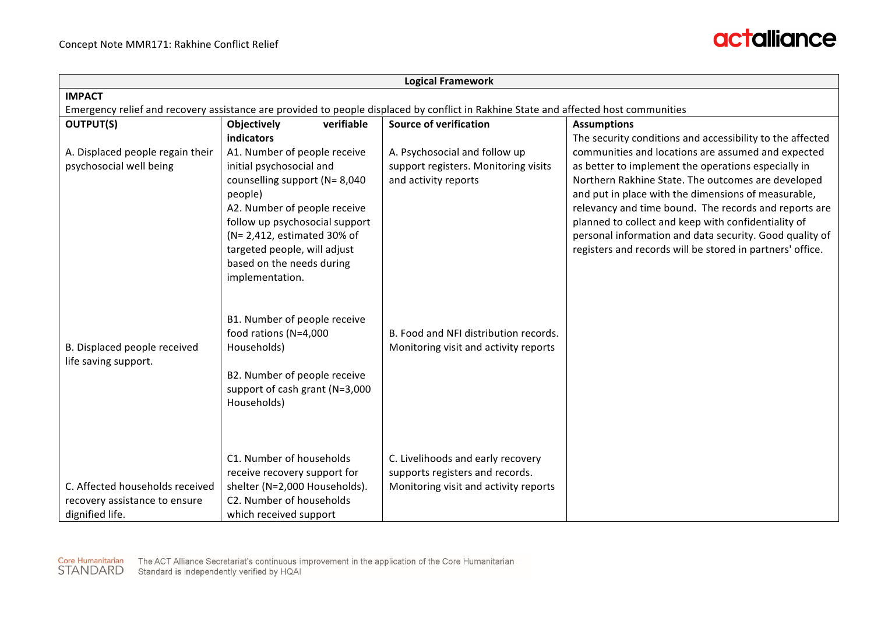

| <b>Logical Framework</b>                                                                                                             |                                                                |                                                                       |                                                                                                              |  |  |  |  |
|--------------------------------------------------------------------------------------------------------------------------------------|----------------------------------------------------------------|-----------------------------------------------------------------------|--------------------------------------------------------------------------------------------------------------|--|--|--|--|
| <b>IMPACT</b>                                                                                                                        |                                                                |                                                                       |                                                                                                              |  |  |  |  |
| Emergency relief and recovery assistance are provided to people displaced by conflict in Rakhine State and affected host communities |                                                                |                                                                       |                                                                                                              |  |  |  |  |
| <b>OUTPUT(S)</b>                                                                                                                     | <b>Objectively</b><br>verifiable                               | <b>Source of verification</b>                                         | <b>Assumptions</b>                                                                                           |  |  |  |  |
|                                                                                                                                      | indicators                                                     |                                                                       | The security conditions and accessibility to the affected                                                    |  |  |  |  |
| A. Displaced people regain their<br>psychosocial well being                                                                          | A1. Number of people receive<br>initial psychosocial and       | A. Psychosocial and follow up<br>support registers. Monitoring visits | communities and locations are assumed and expected<br>as better to implement the operations especially in    |  |  |  |  |
|                                                                                                                                      | counselling support (N= 8,040                                  | and activity reports                                                  | Northern Rakhine State. The outcomes are developed                                                           |  |  |  |  |
|                                                                                                                                      | people)                                                        |                                                                       | and put in place with the dimensions of measurable,                                                          |  |  |  |  |
|                                                                                                                                      | A2. Number of people receive<br>follow up psychosocial support |                                                                       | relevancy and time bound. The records and reports are<br>planned to collect and keep with confidentiality of |  |  |  |  |
|                                                                                                                                      | (N= 2,412, estimated 30% of                                    |                                                                       | personal information and data security. Good quality of                                                      |  |  |  |  |
|                                                                                                                                      | targeted people, will adjust                                   |                                                                       | registers and records will be stored in partners' office.                                                    |  |  |  |  |
|                                                                                                                                      | based on the needs during                                      |                                                                       |                                                                                                              |  |  |  |  |
|                                                                                                                                      | implementation.                                                |                                                                       |                                                                                                              |  |  |  |  |
|                                                                                                                                      | B1. Number of people receive<br>food rations (N=4,000          | B. Food and NFI distribution records.                                 |                                                                                                              |  |  |  |  |
| B. Displaced people received                                                                                                         | Households)                                                    | Monitoring visit and activity reports                                 |                                                                                                              |  |  |  |  |
| life saving support.                                                                                                                 |                                                                |                                                                       |                                                                                                              |  |  |  |  |
|                                                                                                                                      | B2. Number of people receive                                   |                                                                       |                                                                                                              |  |  |  |  |
|                                                                                                                                      | support of cash grant (N=3,000                                 |                                                                       |                                                                                                              |  |  |  |  |
|                                                                                                                                      | Households)                                                    |                                                                       |                                                                                                              |  |  |  |  |
|                                                                                                                                      |                                                                |                                                                       |                                                                                                              |  |  |  |  |
|                                                                                                                                      |                                                                |                                                                       |                                                                                                              |  |  |  |  |
|                                                                                                                                      | C1. Number of households                                       | C. Livelihoods and early recovery                                     |                                                                                                              |  |  |  |  |
|                                                                                                                                      | receive recovery support for                                   | supports registers and records.                                       |                                                                                                              |  |  |  |  |
| C. Affected households received                                                                                                      | shelter (N=2,000 Households).                                  | Monitoring visit and activity reports                                 |                                                                                                              |  |  |  |  |
| recovery assistance to ensure                                                                                                        | C2. Number of households                                       |                                                                       |                                                                                                              |  |  |  |  |
| dignified life.                                                                                                                      | which received support                                         |                                                                       |                                                                                                              |  |  |  |  |



Core Humanitarian The ACT Alliance Secretariat's continuous improvement in the application of the Core Humanitarian<br>STANDARD Standard is independently verified by HQAI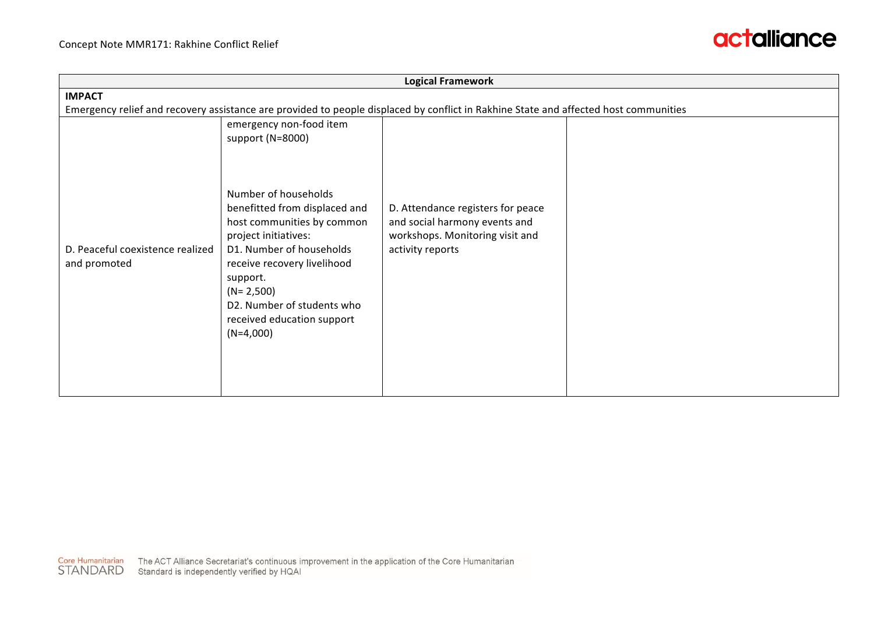

| <b>Logical Framework</b>                                                                                                             |                                                                                                                                                                                                                                                                              |                                                                                                                           |  |  |  |  |
|--------------------------------------------------------------------------------------------------------------------------------------|------------------------------------------------------------------------------------------------------------------------------------------------------------------------------------------------------------------------------------------------------------------------------|---------------------------------------------------------------------------------------------------------------------------|--|--|--|--|
| <b>IMPACT</b>                                                                                                                        |                                                                                                                                                                                                                                                                              |                                                                                                                           |  |  |  |  |
| Emergency relief and recovery assistance are provided to people displaced by conflict in Rakhine State and affected host communities |                                                                                                                                                                                                                                                                              |                                                                                                                           |  |  |  |  |
|                                                                                                                                      | emergency non-food item<br>support (N=8000)                                                                                                                                                                                                                                  |                                                                                                                           |  |  |  |  |
| D. Peaceful coexistence realized<br>and promoted                                                                                     | Number of households<br>benefitted from displaced and<br>host communities by common<br>project initiatives:<br>D1. Number of households<br>receive recovery livelihood<br>support.<br>$(N=2,500)$<br>D2. Number of students who<br>received education support<br>$(N=4,000)$ | D. Attendance registers for peace<br>and social harmony events and<br>workshops. Monitoring visit and<br>activity reports |  |  |  |  |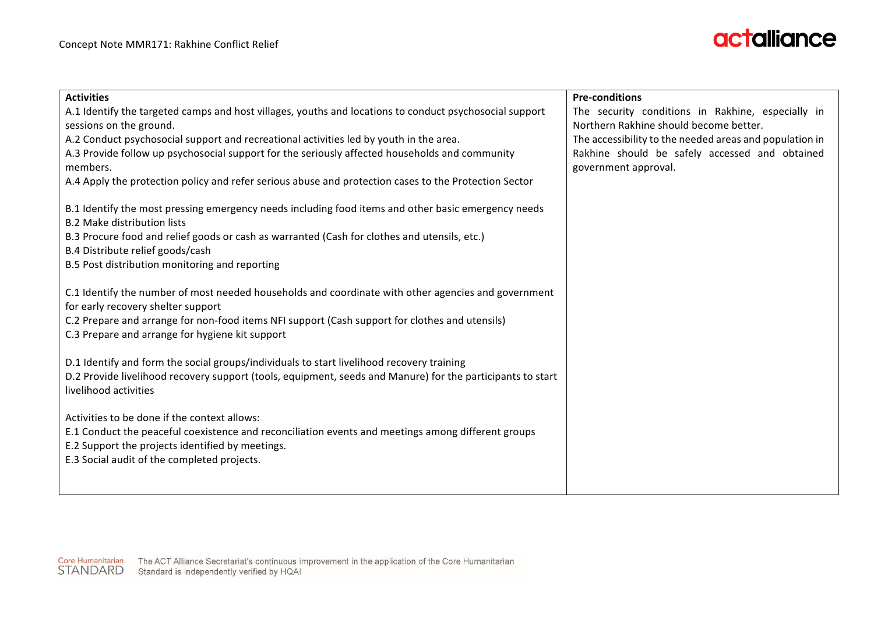

| <b>Activities</b>                                                                                                                                                                                                                | <b>Pre-conditions</b>                                                                       |
|----------------------------------------------------------------------------------------------------------------------------------------------------------------------------------------------------------------------------------|---------------------------------------------------------------------------------------------|
| A.1 Identify the targeted camps and host villages, youths and locations to conduct psychosocial support<br>sessions on the ground.                                                                                               | The security conditions in Rakhine, especially in<br>Northern Rakhine should become better. |
| A.2 Conduct psychosocial support and recreational activities led by youth in the area.                                                                                                                                           | The accessibility to the needed areas and population in                                     |
| A.3 Provide follow up psychosocial support for the seriously affected households and community<br>members.                                                                                                                       | Rakhine should be safely accessed and obtained<br>government approval.                      |
| A.4 Apply the protection policy and refer serious abuse and protection cases to the Protection Sector                                                                                                                            |                                                                                             |
| B.1 Identify the most pressing emergency needs including food items and other basic emergency needs<br><b>B.2 Make distribution lists</b>                                                                                        |                                                                                             |
| B.3 Procure food and relief goods or cash as warranted (Cash for clothes and utensils, etc.)<br>B.4 Distribute relief goods/cash                                                                                                 |                                                                                             |
| B.5 Post distribution monitoring and reporting                                                                                                                                                                                   |                                                                                             |
| C.1 Identify the number of most needed households and coordinate with other agencies and government<br>for early recovery shelter support                                                                                        |                                                                                             |
| C.2 Prepare and arrange for non-food items NFI support (Cash support for clothes and utensils)<br>C.3 Prepare and arrange for hygiene kit support                                                                                |                                                                                             |
| D.1 Identify and form the social groups/individuals to start livelihood recovery training<br>D.2 Provide livelihood recovery support (tools, equipment, seeds and Manure) for the participants to start<br>livelihood activities |                                                                                             |
| Activities to be done if the context allows:                                                                                                                                                                                     |                                                                                             |
| E.1 Conduct the peaceful coexistence and reconciliation events and meetings among different groups<br>E.2 Support the projects identified by meetings.                                                                           |                                                                                             |
|                                                                                                                                                                                                                                  |                                                                                             |
| E.3 Social audit of the completed projects.                                                                                                                                                                                      |                                                                                             |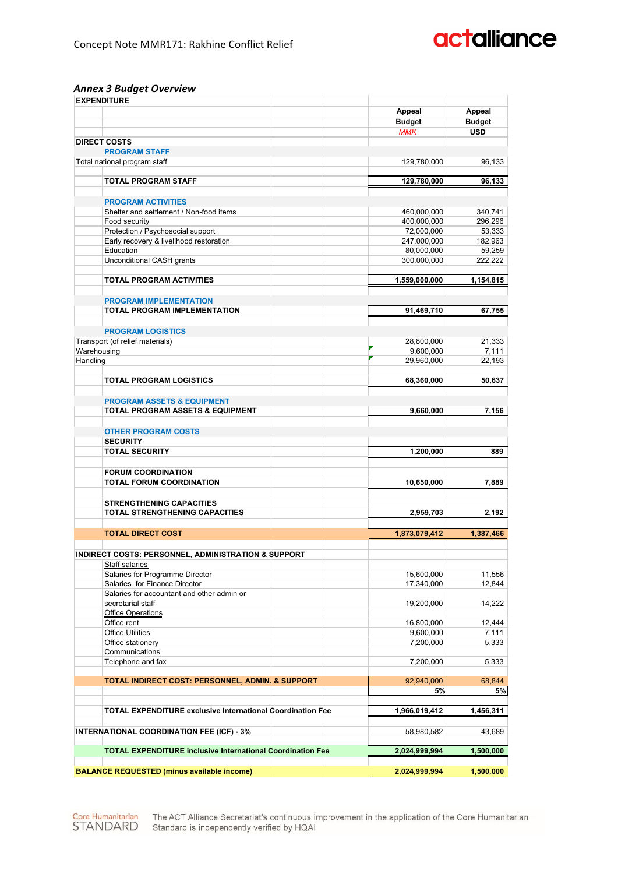#### *Annex 3 Budget Overview*

| <b>EXPENDITURE</b>                                                |                             |                             |
|-------------------------------------------------------------------|-----------------------------|-----------------------------|
|                                                                   | <b>Appeal</b>               | Appeal                      |
|                                                                   | <b>Budget</b><br><b>MMK</b> | <b>Budget</b><br><b>USD</b> |
| <b>DIRECT COSTS</b>                                               |                             |                             |
| <b>PROGRAM STAFF</b>                                              |                             |                             |
| Total national program staff                                      | 129,780,000                 | 96,133                      |
|                                                                   |                             |                             |
| <b>TOTAL PROGRAM STAFF</b>                                        | 129,780,000                 | 96,133                      |
|                                                                   |                             |                             |
| <b>PROGRAM ACTIVITIES</b>                                         |                             |                             |
| Shelter and settlement / Non-food items<br>Food security          | 460,000,000<br>400,000,000  | 340,741<br>296,296          |
| Protection / Psychosocial support                                 | 72,000,000                  | 53,333                      |
| Early recovery & livelihood restoration                           | 247,000,000                 | 182,963                     |
| Education                                                         | 80,000,000                  | 59,259                      |
| Unconditional CASH grants                                         | 300,000,000                 | 222,222                     |
|                                                                   |                             |                             |
| <b>TOTAL PROGRAM ACTIVITIES</b>                                   | 1,559,000,000               | 1,154,815                   |
|                                                                   |                             |                             |
| <b>PROGRAM IMPLEMENTATION</b>                                     |                             |                             |
| <b>TOTAL PROGRAM IMPLEMENTATION</b>                               | 91,469,710                  | 67.755                      |
| <b>PROGRAM LOGISTICS</b>                                          |                             |                             |
| Transport (of relief materials)                                   | 28,800,000                  | 21,333                      |
| Warehousing                                                       | 9,600,000                   | 7,111                       |
| Handling                                                          | 29,960,000                  | 22,193                      |
|                                                                   |                             |                             |
| <b>TOTAL PROGRAM LOGISTICS</b>                                    | 68,360,000                  | 50,637                      |
|                                                                   |                             |                             |
| <b>PROGRAM ASSETS &amp; EQUIPMENT</b>                             |                             |                             |
| TOTAL PROGRAM ASSETS & EQUIPMENT                                  | 9,660,000                   | 7,156                       |
|                                                                   |                             |                             |
| <b>OTHER PROGRAM COSTS</b>                                        |                             |                             |
| <b>SECURITY</b>                                                   |                             |                             |
| <b>TOTAL SECURITY</b>                                             | 1,200,000                   | 889                         |
|                                                                   |                             |                             |
| <b>FORUM COORDINATION</b><br><b>TOTAL FORUM COORDINATION</b>      | 10,650,000                  | 7,889                       |
|                                                                   |                             |                             |
| <b>STRENGTHENING CAPACITIES</b>                                   |                             |                             |
| <b>TOTAL STRENGTHENING CAPACITIES</b>                             | 2,959,703                   | 2.192                       |
|                                                                   |                             |                             |
| <b>TOTAL DIRECT COST</b>                                          | 1,873,079,412               | 1,387,466                   |
|                                                                   |                             |                             |
| <b>INDIRECT COSTS: PERSONNEL, ADMINISTRATION &amp; SUPPORT</b>    |                             |                             |
| <b>Staff salaries</b>                                             |                             |                             |
| Salaries for Programme Director                                   | 15,600,000                  | 11,556                      |
| Salaries for Finance Director                                     | 17,340,000                  | 12,844                      |
| Salaries for accountant and other admin or                        |                             |                             |
| secretarial staff<br><b>Office Operations</b>                     | 19,200,000                  | 14,222                      |
| Office rent                                                       | 16,800,000                  | 12,444                      |
| <b>Office Utilities</b>                                           | 9,600,000                   | 7,111                       |
| Office stationery                                                 | 7,200,000                   | 5,333                       |
| Communications                                                    |                             |                             |
| Telephone and fax                                                 | 7,200,000                   | 5,333                       |
|                                                                   |                             |                             |
| TOTAL INDIRECT COST: PERSONNEL, ADMIN. & SUPPORT                  | 92,940,000                  | 68,844                      |
|                                                                   | 5%                          | 5%                          |
| <b>TOTAL EXPENDITURE exclusive International Coordination Fee</b> | 1,966,019,412               | 1,456,311                   |
|                                                                   |                             |                             |
| <b>INTERNATIONAL COORDINATION FEE (ICF) - 3%</b>                  | 58,980,582                  | 43,689                      |
|                                                                   |                             |                             |
| <b>TOTAL EXPENDITURE inclusive International Coordination Fee</b> | 2,024,999,994               | 1,500,000                   |
|                                                                   |                             |                             |
| <b>BALANCE REQUESTED (minus available income)</b>                 | 2,024,999,994               | 1,500,000                   |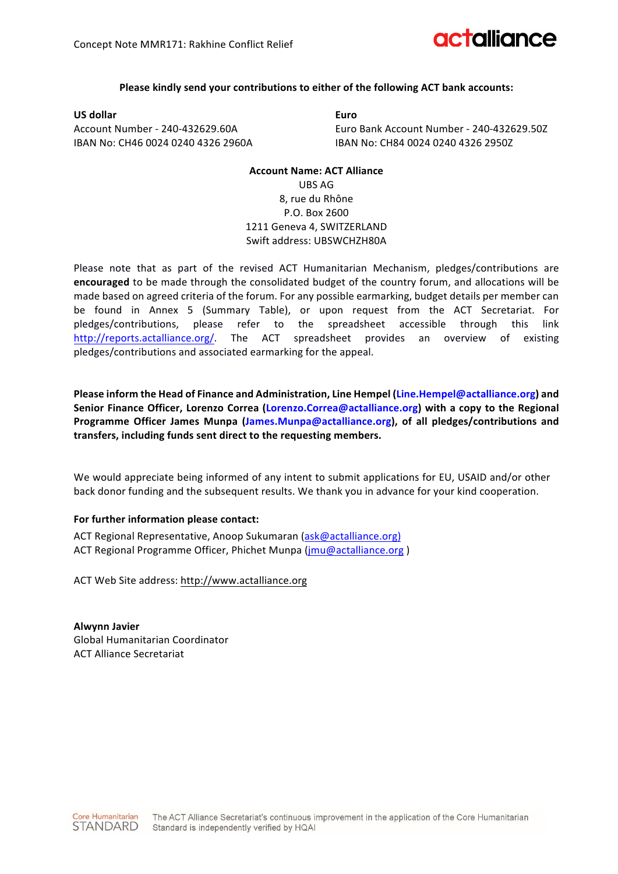#### **Please kindly send your contributions to either of the following ACT bank accounts:**

**US dollar Euro** IBAN No: CH46 0024 0240 4326 2960A IBAN No: CH84 0024 0240 4326 2950Z

Account Number - 240-432629.60A Euro Bank Account Number - 240-432629.50Z

#### **Account Name: ACT Alliance** UBS AG 8, rue du Rhône P.O. Box 2600 1211 Geneva 4, SWITZERLAND Swift address: UBSWCHZH80A

Please note that as part of the revised ACT Humanitarian Mechanism, pledges/contributions are **encouraged** to be made through the consolidated budget of the country forum, and allocations will be made based on agreed criteria of the forum. For any possible earmarking, budget details per member can be found in Annex 5 (Summary Table), or upon request from the ACT Secretariat. For pledges/contributions, please refer to the spreadsheet accessible through this link http://reports.actalliance.org/. The ACT spreadsheet provides an overview of existing pledges/contributions and associated earmarking for the appeal.

Please inform the Head of Finance and Administration, Line Hempel (Line.Hempel@actalliance.org) and Senior Finance Officer, Lorenzo Correa (Lorenzo.Correa@actalliance.org) with a copy to the Regional Programme Officer James Munpa (James.Munpa@actalliance.org), of all pledges/contributions and transfers, including funds sent direct to the requesting members.

We would appreciate being informed of any intent to submit applications for EU, USAID and/or other back donor funding and the subsequent results. We thank you in advance for your kind cooperation.

#### For further information please contact:

ACT Regional Representative, Anoop Sukumaran (ask@actalliance.org) ACT Regional Programme Officer, Phichet Munpa (jmu@actalliance.org)

ACT Web Site address: http://www.actalliance.org

**Alwynn Javier** Global Humanitarian Coordinator ACT Alliance Secretariat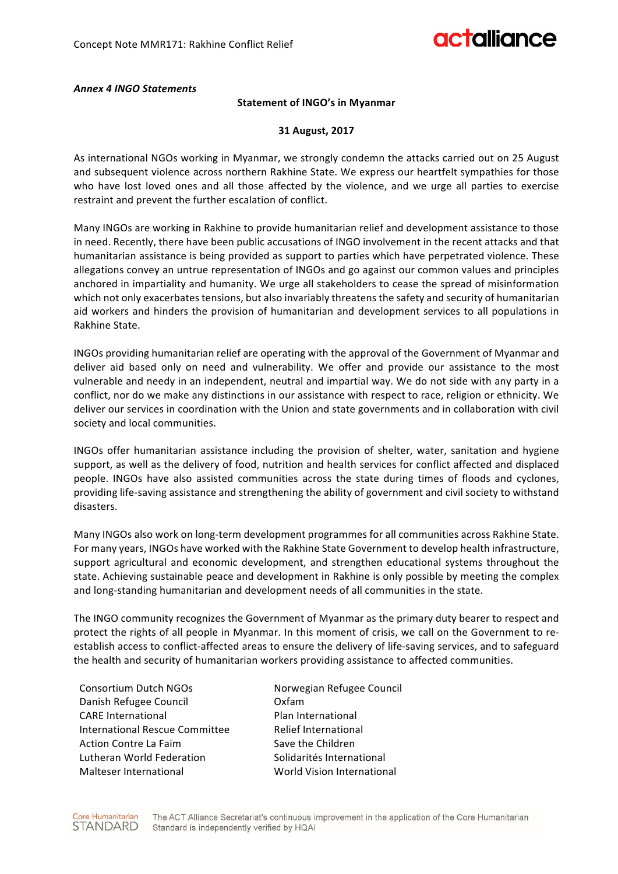#### *Annex 4 INGO Statements*

#### **Statement of INGO's in Myanmar**

#### **31 August, 2017**

As international NGOs working in Myanmar, we strongly condemn the attacks carried out on 25 August and subsequent violence across northern Rakhine State. We express our heartfelt sympathies for those who have lost loved ones and all those affected by the violence, and we urge all parties to exercise restraint and prevent the further escalation of conflict.

Many INGOs are working in Rakhine to provide humanitarian relief and development assistance to those in need. Recently, there have been public accusations of INGO involvement in the recent attacks and that humanitarian assistance is being provided as support to parties which have perpetrated violence. These allegations convey an untrue representation of INGOs and go against our common values and principles anchored in impartiality and humanity. We urge all stakeholders to cease the spread of misinformation which not only exacerbates tensions, but also invariably threatens the safety and security of humanitarian aid workers and hinders the provision of humanitarian and development services to all populations in Rakhine State.

INGOs providing humanitarian relief are operating with the approval of the Government of Myanmar and deliver aid based only on need and vulnerability. We offer and provide our assistance to the most vulnerable and needy in an independent, neutral and impartial way. We do not side with any party in a conflict, nor do we make any distinctions in our assistance with respect to race, religion or ethnicity. We deliver our services in coordination with the Union and state governments and in collaboration with civil society and local communities.

INGOs offer humanitarian assistance including the provision of shelter, water, sanitation and hygiene support, as well as the delivery of food, nutrition and health services for conflict affected and displaced people. INGOs have also assisted communities across the state during times of floods and cyclones, providing life-saving assistance and strengthening the ability of government and civil society to withstand disasters. 

Many INGOs also work on long-term development programmes for all communities across Rakhine State. For many years, INGOs have worked with the Rakhine State Government to develop health infrastructure, support agricultural and economic development, and strengthen educational systems throughout the state. Achieving sustainable peace and development in Rakhine is only possible by meeting the complex and long-standing humanitarian and development needs of all communities in the state.

The INGO community recognizes the Government of Myanmar as the primary duty bearer to respect and protect the rights of all people in Myanmar. In this moment of crisis, we call on the Government to reestablish access to conflict-affected areas to ensure the delivery of life-saving services, and to safeguard the health and security of humanitarian workers providing assistance to affected communities.

Consortium Dutch NGOs **Norwegian Refugee Council** Danish Refugee Council **Communist Containst Containst Containst Containst Containst Containst Containst Contains** CARE International **CARE** International International Rescue Committee Relief International Action Contre La Faim Save the Children Lutheran World Federation **Solidarités** International Malteser International **World Vision International**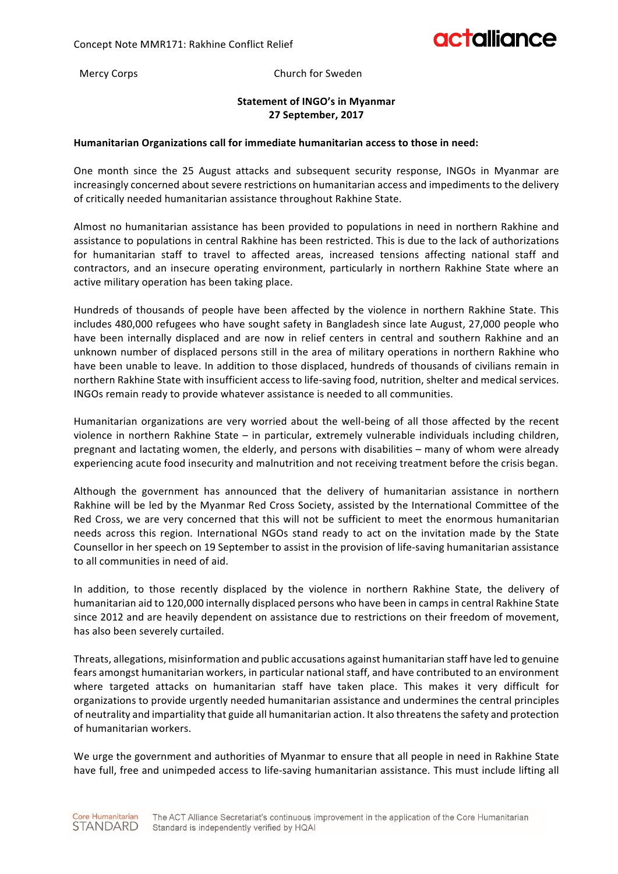Mercy Corps **Church** for Sweden

#### **Statement of INGO's in Myanmar 27 September, 2017**

#### Humanitarian Organizations call for immediate humanitarian access to those in need:

One month since the 25 August attacks and subsequent security response, INGOs in Myanmar are increasingly concerned about severe restrictions on humanitarian access and impediments to the delivery of critically needed humanitarian assistance throughout Rakhine State.

Almost no humanitarian assistance has been provided to populations in need in northern Rakhine and assistance to populations in central Rakhine has been restricted. This is due to the lack of authorizations for humanitarian staff to travel to affected areas, increased tensions affecting national staff and contractors, and an insecure operating environment, particularly in northern Rakhine State where an active military operation has been taking place.

Hundreds of thousands of people have been affected by the violence in northern Rakhine State. This includes 480,000 refugees who have sought safety in Bangladesh since late August, 27,000 people who have been internally displaced and are now in relief centers in central and southern Rakhine and an unknown number of displaced persons still in the area of military operations in northern Rakhine who have been unable to leave. In addition to those displaced, hundreds of thousands of civilians remain in northern Rakhine State with insufficient access to life-saving food, nutrition, shelter and medical services. INGOs remain ready to provide whatever assistance is needed to all communities.

Humanitarian organizations are very worried about the well-being of all those affected by the recent violence in northern Rakhine State – in particular, extremely vulnerable individuals including children, pregnant and lactating women, the elderly, and persons with disabilities – many of whom were already experiencing acute food insecurity and malnutrition and not receiving treatment before the crisis began.

Although the government has announced that the delivery of humanitarian assistance in northern Rakhine will be led by the Myanmar Red Cross Society, assisted by the International Committee of the Red Cross, we are very concerned that this will not be sufficient to meet the enormous humanitarian needs across this region. International NGOs stand ready to act on the invitation made by the State Counsellor in her speech on 19 September to assist in the provision of life-saving humanitarian assistance to all communities in need of aid.

In addition, to those recently displaced by the violence in northern Rakhine State, the delivery of humanitarian aid to 120,000 internally displaced persons who have been in camps in central Rakhine State since 2012 and are heavily dependent on assistance due to restrictions on their freedom of movement, has also been severely curtailed.

Threats, allegations, misinformation and public accusations against humanitarian staff have led to genuine fears amongst humanitarian workers, in particular national staff, and have contributed to an environment where targeted attacks on humanitarian staff have taken place. This makes it very difficult for organizations to provide urgently needed humanitarian assistance and undermines the central principles of neutrality and impartiality that guide all humanitarian action. It also threatens the safety and protection of humanitarian workers.

We urge the government and authorities of Myanmar to ensure that all people in need in Rakhine State have full, free and unimpeded access to life-saving humanitarian assistance. This must include lifting all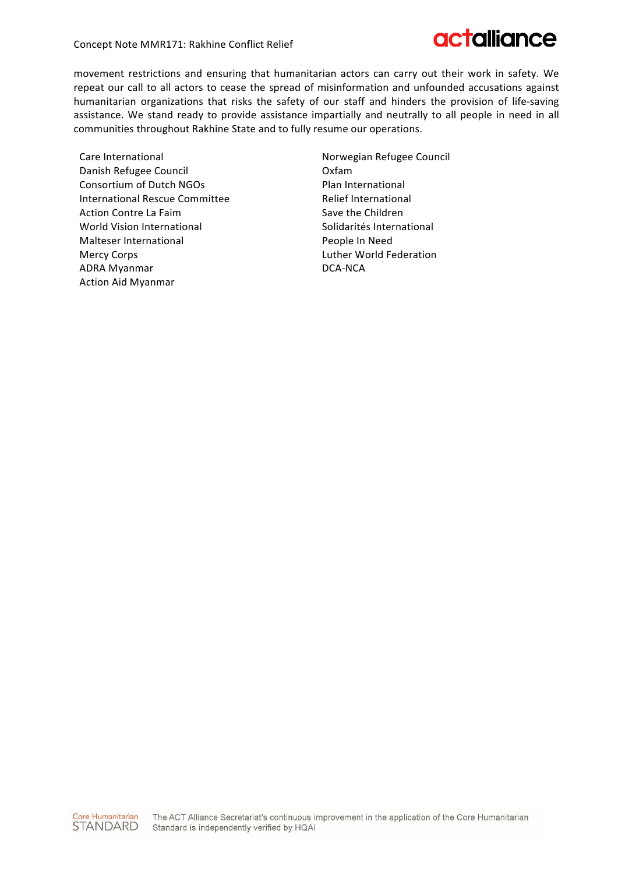

movement restrictions and ensuring that humanitarian actors can carry out their work in safety. We repeat our call to all actors to cease the spread of misinformation and unfounded accusations against humanitarian organizations that risks the safety of our staff and hinders the provision of life-saving assistance. We stand ready to provide assistance impartially and neutrally to all people in need in all communities throughout Rakhine State and to fully resume our operations.

Care International Danish Refugee Council Consortium of Dutch NGOs International Rescue Committee Action Contre La Faim World Vision International Malteser International Mercy Corps ADRA Myanmar Action Aid Myanmar

Norwegian Refugee Council Oxfam Plan International Relief International Save the Children Solidarités International People In Need Luther World Federation DCA-NCA 

Core Humanitarian The ACT Alliance Secretariat's continuous improvement in the application of the Core Humanitarian STANDARD Standard is independently verified by HQAI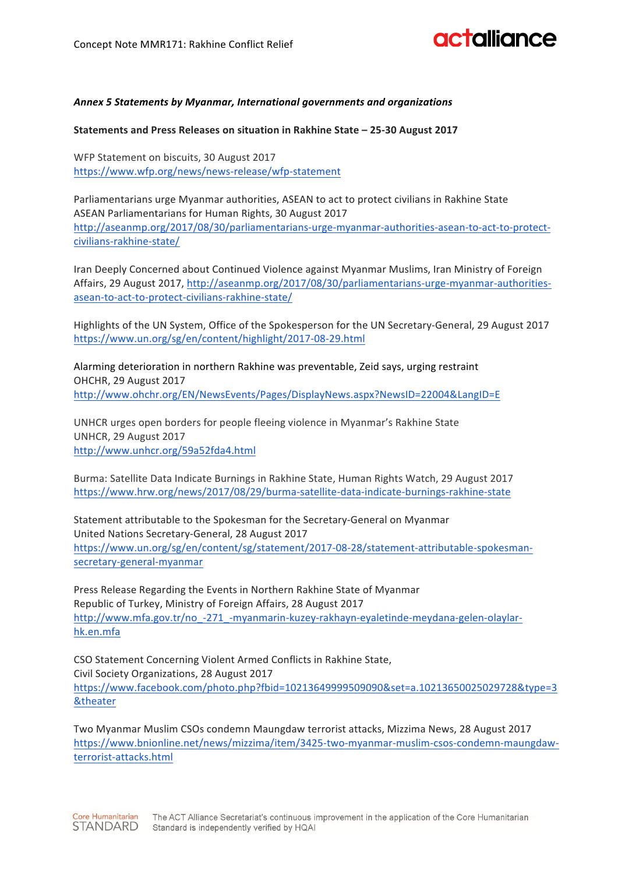#### *Annex 5 Statements by Myanmar, International governments and organizations*

**Statements and Press Releases on situation in Rakhine State – 25-30 August 2017**

WFP Statement on biscuits, 30 August 2017 https://www.wfp.org/news/news-release/wfp-statement

Parliamentarians urge Myanmar authorities, ASEAN to act to protect civilians in Rakhine State ASEAN Parliamentarians for Human Rights, 30 August 2017 http://aseanmp.org/2017/08/30/parliamentarians-urge-myanmar-authorities-asean-to-act-to-protectcivilians-rakhine-state/

Iran Deeply Concerned about Continued Violence against Myanmar Muslims, Iran Ministry of Foreign Affairs, 29 August 2017, http://aseanmp.org/2017/08/30/parliamentarians-urge-myanmar-authoritiesasean-to-act-to-protect-civilians-rakhine-state/

Highlights of the UN System, Office of the Spokesperson for the UN Secretary-General, 29 August 2017 https://www.un.org/sg/en/content/highlight/2017-08-29.html

Alarming deterioration in northern Rakhine was preventable, Zeid says, urging restraint OHCHR, 29 August 2017 http://www.ohchr.org/EN/NewsEvents/Pages/DisplayNews.aspx?NewsID=22004&LangID=E

UNHCR urges open borders for people fleeing violence in Myanmar's Rakhine State UNHCR, 29 August 2017 http://www.unhcr.org/59a52fda4.html

Burma: Satellite Data Indicate Burnings in Rakhine State, Human Rights Watch, 29 August 2017 https://www.hrw.org/news/2017/08/29/burma-satellite-data-indicate-burnings-rakhine-state

Statement attributable to the Spokesman for the Secretary-General on Myanmar United Nations Secretary-General, 28 August 2017 https://www.un.org/sg/en/content/sg/statement/2017-08-28/statement-attributable-spokesmansecretary-general-myanmar

Press Release Regarding the Events in Northern Rakhine State of Myanmar Republic of Turkey, Ministry of Foreign Affairs, 28 August 2017 http://www.mfa.gov.tr/no\_-271\_-myanmarin-kuzey-rakhayn-eyaletinde-meydana-gelen-olaylarhk.en.mfa

CSO Statement Concerning Violent Armed Conflicts in Rakhine State, Civil Society Organizations, 28 August 2017 https://www.facebook.com/photo.php?fbid=10213649999509090&set=a.10213650025029728&type=3 &theater

Two Myanmar Muslim CSOs condemn Maungdaw terrorist attacks, Mizzima News, 28 August 2017 https://www.bnionline.net/news/mizzima/item/3425-two-myanmar-muslim-csos-condemn-maungdawterrorist-attacks.html